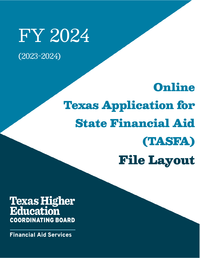## FY 2024 (2023-2024)

# Online Texas Application for State Financial Aid (TASFA) File Layout

## **Texas Higher Education** ľ

**Financial Aid Services**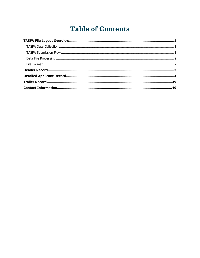## **Table of Contents**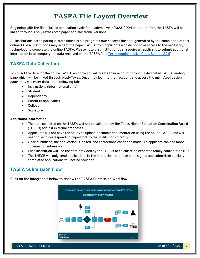### **TASFA File Layout Overview**

<span id="page-2-0"></span>Beginning with the financial aid application cycle for academic year 2023-2024 and thereafter, the TASFA will be linked through ApplyTexas (both paper and electronic versions).

All institutions participating in state financial aid programs **must** accept the data generated by the completion of this online TASFA. Institutions may accept the paper TASFA from applicants who do not have access to the necessary technology to complete the online TASFA. Please note that institutions can require an applicant to submit additional information to accompany the data received on the TASFA (see [Texas Administrative Code, Section 22.6\)](https://texreg.sos.state.tx.us/public/readtac$ext.TacPage?sl=R&app=9&p_dir=&p_rloc=&p_tloc=&p_ploc=&pg=1&p_tac=&ti=19&pt=1&ch=22&rl=6).

#### <span id="page-2-1"></span>**TASFA Data Collection**

To collect the data for the online TASFA, an applicant will create their account through a dedicated TASFA landing page which will be linked through ApplyTexas. Once they log into their account and access the main **Application** page, they will enter data in the following tabs:

- Instructions (informational only)
- **Student**
- Dependency
- Parent (if applicable)
- College
- Signature

#### **Additional Information:**

- The data collected on the TASFA will not be validated by the Texas Higher Education Coordinating Board (THECB) against external databases.
- Applicants will not have the ability to upload or submit documentation using the online TASFA and will need to send corresponding paperwork to the institutions directly.
- Once submitted, the application is locked, and corrections cannot be made. An applicant can add more colleges for submission.
- Each institution will use the data provided by the THECB to calculate an expected family contribution (EFC).
- The THECB will only send applications to the institution that have been signed and submitted; partially completed applications will not be provided.

#### <span id="page-2-2"></span>**TASFA Submission Flow**

Click on the infographic be[low to review the TASFA Submission Workflow.](https://reportcenter.highered.texas.gov/agency-publication/miscellaneous/tasfa-fy-2024-flow-chart/)

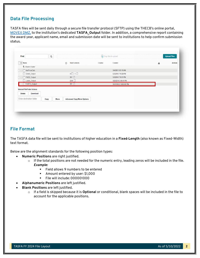#### <span id="page-3-0"></span>**Data File Processing**

TASFA files will be sent daily through a secure file transfer protocol (SFTP) using the THECB's online portal, [MOVEit DMZ,](https://dsv.thecb.state.tx.us/) to the institution's dedicated **TASFA\_Output** folder. In addition, a comprehensive report containing the award year, applicant name, email and submission date will be sent to institutions to help confirm submission status.

| Find:                                | $\mathsf Q$ | Drop files to upload.             |         |                      |   |                |  |  |  |
|--------------------------------------|-------------|-----------------------------------|---------|----------------------|---|----------------|--|--|--|
| $\vee$ Name                          | C           | Size/Contents                     | Creator | Created              | 圡 | <b>Actions</b> |  |  |  |
| <sup>1</sup> Parent Folder           |             |                                   |         |                      |   |                |  |  |  |
| NetPriceCalc                         |             |                                   |         | 3/4/2021 9:51:16 AM  |   |                |  |  |  |
| Grant_Output<br>O.                   |             | $4$ <sup>0</sup> $1$ <sup>0</sup> |         | 5/3/2016 7:18:28 PM  |   |                |  |  |  |
| FADS_Output                          |             | 361                               |         | 5/3/2016 7:18:11 PM  |   |                |  |  |  |
| Loans_Output<br>n                    |             | 2246                              |         | 4/29/2016 2:49:41 PM |   |                |  |  |  |
| TASFA_Output                         |             | 361                               |         | 10/1/2022 9:00:00 PM |   |                |  |  |  |
| <b>Selected File/Folder Actions:</b> |             |                                   |         |                      |   |                |  |  |  |
| Delete<br>Download                   |             |                                   |         |                      |   |                |  |  |  |
| Enter destination folder<br>Copy     | Move        | <b>Advanced Copy/Move Options</b> |         |                      |   |                |  |  |  |
|                                      |             |                                   |         |                      |   |                |  |  |  |
|                                      |             |                                   |         |                      |   |                |  |  |  |

#### <span id="page-3-1"></span>**File Format**

The TASFA data file will be sent to institutions of higher education in a **Fixed**‐**Length** (also known as Fixed-Width) text format.

Below are the alignment standards for the following position types:

- **Numeric Positions** are right justified.
	- $\circ$  If the total positions are not needed for the numeric entry, leading zeros will be included in the file. *Example:*
		- Field allows 9 numbers to be entered
		- Amount entered by user: \$1,000
		- File will include: 000001000
- **Alphanumeric Positions** are left justified.
- **Blank Positions** are left justified.
	- o If a field is skipped because it is **Optional** or conditional, blank spaces will be included in the file to account for the applicable positions.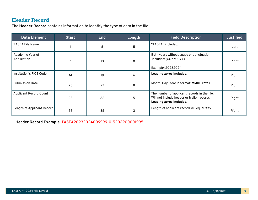#### **Header Record**

The **Header Record** contains information to identify the type of data in the file.

<span id="page-4-0"></span>

| <b>Data Element</b>             | <b>Start</b> | <b>End</b> | Length | <b>Field Description</b>                                                                                               | <b>Justified</b> |
|---------------------------------|--------------|------------|--------|------------------------------------------------------------------------------------------------------------------------|------------------|
| <b>TASFA File Name</b>          |              | 5          | 5      | "TASFA" included.                                                                                                      | Left             |
| Academic Year of<br>Application | 6            | 13         | 8      | Both years without space or punctuation<br>included: (CCYYCCYY)<br>Example: 20232024                                   | Right            |
| Institution's FICE Code         | 14           | 19         | 6      | Leading zeros included.                                                                                                | Right            |
| <b>Submission Date</b>          | 20           | 27         | 8      | Month, Day, Year in format: MMDDYYYY                                                                                   | Right            |
| <b>Applicant Record Count</b>   | 28           | 32         | 5      | The number of applicant records in the file.<br>Will not include header or trailer records.<br>Leading zeros included. | Right            |
| Length of Applicant Record      | 33           | 35         | 3      | Length of applicant record will equal 995.                                                                             | Right            |

**Header Record Example:** TASFA202320240099991015202200001995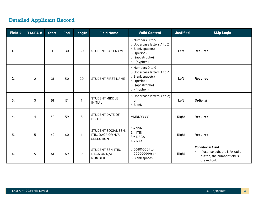### **Detailed Applicant Record**

<span id="page-5-0"></span>

| Field # | <b>TASFA#</b>  | <b>Start</b> | <b>End</b> | Length       | <b>Field Name</b>                                            | <b>Valid Content</b>                                                                                                                   | <b>Justified</b> | <b>Skip Logic</b>                                                                                                  |
|---------|----------------|--------------|------------|--------------|--------------------------------------------------------------|----------------------------------------------------------------------------------------------------------------------------------------|------------------|--------------------------------------------------------------------------------------------------------------------|
| 1.      |                | $\mathbf{1}$ | 30         | 30           | <b>STUDENT LAST NAME</b>                                     | o Numbers 0 to 9<br>o Uppercase letters A to Z<br>o Blank space(s)<br>$\circ$ . (period)<br>o'(apostrophe)<br>$\circ$ - (hyphen)       | Left             | Required                                                                                                           |
| 2.      | $\overline{2}$ | 31           | 50         | 20           | STUDENT FIRST NAME                                           | o Numbers 0 to 9<br>$\circ$ Uppercase letters A to Z<br>o Blank space(s)<br>$\circ$ . (period)<br>o'(apostrophe)<br>$\circ$ - (hyphen) | Left             | Required                                                                                                           |
| 3.      | 3              | 51           | 51         | $\mathbf{1}$ | <b>STUDENT MIDDLE</b><br><b>INITIAL</b>                      | o Uppercase letters A to Z;<br>or<br>$\circ$ Blank                                                                                     | Left             | <b>Optional</b>                                                                                                    |
| 4.      | 4              | 52           | 59         | 8            | <b>STUDENT DATE OF</b><br><b>BIRTH</b>                       | MMDDYYYY                                                                                                                               | Right            | Required                                                                                                           |
| 5.      | 5              | 60           | 60         | $\mathbf{1}$ | STUDENT SOCIAL SSN,<br>ITIN, DACA OR N/A<br><b>SELECTION</b> | $1 = SSN$<br>$2 = ITIN$<br>$3 = DACA$<br>$4 = N/A$                                                                                     | Right            | Required                                                                                                           |
| 6.      | 5              | 61           | 69         | 9            | STUDENT SSN, ITIN,<br>DACA OR N/A<br><b>NUMBER</b>           | $\circ$ 001010001 to<br>999999999; or<br>o Blank spaces                                                                                | Right            | <b>Conditional Field</b><br>If user selects the N/A radio<br>$\circ$<br>button, the number field is<br>greyed out. |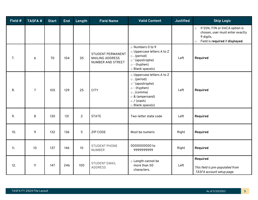| Field # | <b>TASFA#</b>  | <b>Start</b> | <b>End</b> | Length         | <b>Field Name</b>                                                | <b>Valid Content</b>                                                                                                                                                            | <b>Justified</b> | <b>Skip Logic</b>                                                                                                                       |
|---------|----------------|--------------|------------|----------------|------------------------------------------------------------------|---------------------------------------------------------------------------------------------------------------------------------------------------------------------------------|------------------|-----------------------------------------------------------------------------------------------------------------------------------------|
|         |                |              |            |                |                                                                  |                                                                                                                                                                                 |                  | If SSN, ITIN or DACA option is<br>$\circ$<br>chosen, user must enter exactly<br>9 digits.<br>Field is required if displayed.<br>$\circ$ |
| 7.      | 6              | 70           | 104        | 35             | STUDENT PERMANENT<br><b>MAILING ADDRESS</b><br>NUMBER AND STREET | o Numbers 0 to 9<br>o Uppercase letters A to Z<br>$\circ$ . (period)<br>o'(apostrophe)<br>$\circ$ - (hyphen)<br>o Blank space(s)                                                | Left             | Required                                                                                                                                |
| 8.      | $\overline{7}$ | 105          | 129        | 25             | <b>CITY</b>                                                      | o Uppercase letters A to Z<br>$\circ$ . (period)<br>o'(apostrophe)<br>$\circ$ - (hyphen)<br>$\circ$ , (comma)<br>$\circ$ & (ampersand)<br>$\circ$ / (slash)<br>o Blank space(s) | Left             | Required                                                                                                                                |
| 9.      | 8              | 130          | 131        | $\overline{2}$ | <b>STATE</b>                                                     | Two-letter state code                                                                                                                                                           | Left             | Required                                                                                                                                |
| 10.     | 9              | 132          | 136        | 5              | <b>ZIP CODE</b>                                                  | Must be numeric                                                                                                                                                                 | Right            | Required                                                                                                                                |
| 11.     | 10             | 137          | 146        | 10             | <b>STUDENT PHONE</b><br><b>NUMBER</b>                            | 0000000000 to<br>9999999999                                                                                                                                                     | Right            | Required                                                                                                                                |
| 12.     | 11             | 147          | 246        | 100            | <b>STUDENT EMAIL</b><br><b>ADDRESS</b>                           | o Length cannot be<br>more than 50<br>characters.                                                                                                                               | Left             | Required<br>This field is pre-populated from<br>TASFA account setup page.                                                               |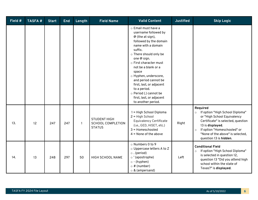| Field # | <b>TASFA#</b> | <b>Start</b> | <b>End</b> | Length       | <b>Field Name</b>                                                | <b>Valid Content</b>                                                                                                                                                                                                                                                                                                                                                                                   | <b>Justified</b> | <b>Skip Logic</b>                                                                                                                                                                                                                                       |
|---------|---------------|--------------|------------|--------------|------------------------------------------------------------------|--------------------------------------------------------------------------------------------------------------------------------------------------------------------------------------------------------------------------------------------------------------------------------------------------------------------------------------------------------------------------------------------------------|------------------|---------------------------------------------------------------------------------------------------------------------------------------------------------------------------------------------------------------------------------------------------------|
|         |               |              |            |              |                                                                  | o Email must have a<br>username followed by<br>@ (the at sign),<br>followed by the domain<br>name with a domain<br>suffix.<br>o There should only be<br>one @ sign.<br>o First character must<br>not be a blank or a<br>space<br>o Hyphen, underscore,<br>and period cannot be<br>first, last, or adjacent<br>to a period.<br>o Period (.) cannot be<br>first, last, or adjacent<br>to another period. |                  |                                                                                                                                                                                                                                                         |
| 13.     | 12            | 247          | 247        | $\mathbf{1}$ | <b>STUDENT HIGH</b><br><b>SCHOOL COMPLETION</b><br><b>STATUS</b> | 1 = High School Diploma<br>2 = High School<br><b>Equivalency Certificate</b><br>(i.e., GED, HiSET, etc.)<br>$3 =$ Homeschooled<br>$4 =$ None of the above                                                                                                                                                                                                                                              | Right            | Required<br>If option "High School Diploma"<br>$\circ$<br>or "High School Equivalency<br>Certificate" is selected, question<br>13 is displayed.<br>If option "Homeschooled" or<br>$\circ$<br>"None of the above" is selected,<br>question 13 is hidden. |
| 14.     | 13            | 248          | 297        | 50           | HIGH SCHOOL NAME                                                 | o Numbers 0 to 9<br>o Uppercase letters A to Z<br>$\circ$ . (period)<br>o'(apostrophe)<br>$\circ$ - (hyphen)<br>$\circ$ # (number)<br>$\circ$ & (ampersand)                                                                                                                                                                                                                                            | Left             | <b>Conditional Field</b><br>If option "High School Diploma"<br>$\circ$<br>is selected in question 12,<br>question 13 "Did you attend high<br>school within the state of<br>Texas?" is displayed.                                                        |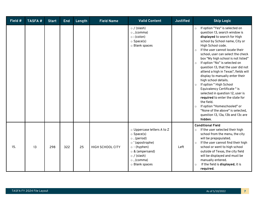| Field # | <b>TASFA#</b> | <b>Start</b> | <b>End</b> | Length | <b>Field Name</b>       | <b>Valid Content</b>                                                                                                                                                                              | <b>Justified</b> | <b>Skip Logic</b>                                                                                                                                                                                                                                                                                                                                                                                                                                                                                                                                                                                                                                                                                                                                                       |
|---------|---------------|--------------|------------|--------|-------------------------|---------------------------------------------------------------------------------------------------------------------------------------------------------------------------------------------------|------------------|-------------------------------------------------------------------------------------------------------------------------------------------------------------------------------------------------------------------------------------------------------------------------------------------------------------------------------------------------------------------------------------------------------------------------------------------------------------------------------------------------------------------------------------------------------------------------------------------------------------------------------------------------------------------------------------------------------------------------------------------------------------------------|
|         |               |              |            |        |                         | $\circ$ / (slash)<br>$\circ$ , (comma)<br>$\circ$ : (colon)<br>$\circ$ Space(s)<br>o Blank spaces                                                                                                 |                  | If option "Yes" is selected on<br>$\circ$<br>question 13, search window is<br>displayed to search for High<br>school by School name, City or<br>High School code.<br>If the user cannot locate their<br>$\circ$<br>school, user can select the check<br>box "My high school is not listed"<br>If option "No" is selected on<br>$\circ$<br>question 13, that the user did not<br>attend a high in Texas", fields will<br>display to manually enter their<br>high school details.<br>If option " High School<br>$\circ$<br>Equivalency Certificate" is<br>selected in question 12, user is<br>required to enter the state for<br>the field.<br>If option "Homeschooled" or<br>$\circ$<br>"None of the above" is selected,<br>question 13, 13a, 13b and 13c are<br>hidden. |
| 15.     | 13            | 298          | 322        | 25     | <b>HIGH SCHOOL CITY</b> | o Uppercase letters A to Z<br>$\circ$ Space(s)<br>$\circ$ . (period)<br>o'(apostrophe)<br>$\circ$ - (hyphen)<br>$\circ$ & (ampersand)<br>$\circ$ / (slash)<br>$\circ$ , (comma)<br>o Blank spaces | Left             | <b>Conditional Field</b><br>If the user selected their high<br>$\circ$<br>school from the menu, the city<br>will be prepopulated.<br>If the user cannot find their high<br>$\circ$<br>school or went to high school<br>outside of Texas, the city field<br>will be displayed and must be<br>manually entered.<br>If the field is displayed, it is<br>$\circ$<br>required.                                                                                                                                                                                                                                                                                                                                                                                               |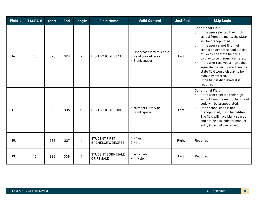| Field # | <b>TASFA#</b> | <b>Start</b> | <b>End</b> | Length          | <b>Field Name</b>                                | <b>Valid Content</b>                                                  | <b>Justified</b> | <b>Skip Logic</b>                                                                                                                                                                                                                                                                                                                                                                                                                                                                                 |
|---------|---------------|--------------|------------|-----------------|--------------------------------------------------|-----------------------------------------------------------------------|------------------|---------------------------------------------------------------------------------------------------------------------------------------------------------------------------------------------------------------------------------------------------------------------------------------------------------------------------------------------------------------------------------------------------------------------------------------------------------------------------------------------------|
| 16.     | 13            | 323          | 324        | $\overline{2}$  | <b>HIGH SCHOOL STATE</b>                         | o Uppercase letters A to Z<br>o Valid two-letter or<br>o Blank spaces | Left             | <b>Conditional Field</b><br>If the user selected their high<br>$\circ$<br>school from the menu, the state<br>will be prepopulated.<br>If the user cannot find their<br>$\circ$<br>school or went to school outside<br>of Texas, the state field will<br>display to be manually entered.<br>If the user received a high school<br>$\circ$<br>equivalency certificate, then the<br>state field would display to be<br>manually entered.<br>If the field is displayed, it is<br>$\circ$<br>required. |
| 17.     | 13            | 325          | 336        | 12 <sup>°</sup> | HIGH SCHOOL CODE                                 | ○ Numbers 0 to 9 or<br>o Blank spaces                                 | Left             | <b>Conditional Field</b><br>If the user selected their high<br>$\circ$<br>school from the menu, the school<br>code will be prepopulated.<br>If the school code is not<br>$\circ$<br>prepopulated, it will be hidden.<br>The field will have blank spaces<br>and not be available for manual<br>entry (to avoid user error).                                                                                                                                                                       |
| 18.     | 14            | 337          | 337        |                 | <b>STUDENT FIRST</b><br><b>BACHELOR'S DEGREE</b> | $1 = Yes$<br>$2 = No$                                                 | Right            | Required                                                                                                                                                                                                                                                                                                                                                                                                                                                                                          |
| 19.     | 15            | 338          | 338        | $\mathbf{1}$    | <b>STUDENT BORN MALE</b><br>OR FEMALE            | $F =$ Female<br>$M = Male$                                            | Left             | Required                                                                                                                                                                                                                                                                                                                                                                                                                                                                                          |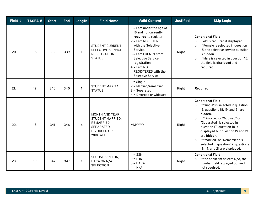| Field # | <b>TASFA#</b> | <b>Start</b> | <b>End</b> | Length       | <b>Field Name</b>                                                                                             | <b>Valid Content</b>                                                                                                                                                                                                                                                                 | <b>Justified</b> | <b>Skip Logic</b>                                                                                                                                                                                                                                                                                                                                                                                       |
|---------|---------------|--------------|------------|--------------|---------------------------------------------------------------------------------------------------------------|--------------------------------------------------------------------------------------------------------------------------------------------------------------------------------------------------------------------------------------------------------------------------------------|------------------|---------------------------------------------------------------------------------------------------------------------------------------------------------------------------------------------------------------------------------------------------------------------------------------------------------------------------------------------------------------------------------------------------------|
| 20.     | 16            | 339          | 339        | $\mathbf{1}$ | <b>STUDENT CURRENT</b><br><b>SELECTIVE SERVICE</b><br><b>REGISTRATION</b><br><b>STATUS</b>                    | $1 = 1$ am under the age of<br>18 and not currently<br>required to register.<br>$2 = I$ am REGISTERED<br>with the Selective<br>Service.<br>$3 = 1$ am EXEMPT from<br><b>Selective Service</b><br>registration.<br>$4 = 1$ am NOT<br><b>REGISTERED</b> with the<br>Selective Service. | Right            | <b>Conditional Field</b><br>Field is required if displayed.<br>$\circ$<br>If Female is selected in question<br>$\circ$<br>15, the selective service question<br>is hidden.<br>If Male is selected in question 15,<br>$\circ$<br>the field is displayed and<br>required.                                                                                                                                 |
| 21.     | 17            | 340          | 340        | $\mathbf{1}$ | <b>STUDENT MARITAL</b><br><b>STATUS</b>                                                                       | $1 =$ Single<br>$2 =$ Married/remarried<br>$3 =$ Separated<br>$4 = Divored$ or widowed                                                                                                                                                                                               | Right            | Required                                                                                                                                                                                                                                                                                                                                                                                                |
| 22.     | 18            | 341          | 346        | 6            | <b>MONTH AND YEAR</b><br>STUDENT MARRIED,<br>REMARRIED,<br>SEPARATED,<br><b>DIVORCED OR</b><br><b>WIDOWED</b> | <b>MMYYYY</b>                                                                                                                                                                                                                                                                        | Right            | <b>Conditional Field</b><br>If "single" is selected in question<br>$\circ$<br>17, questions 18, 19, and 21 are<br>hidden.<br>If "Divorced or Widowed" or<br>$\circ$<br>"Separated" is selected in<br>question 17, question 18 is<br>displayed but question 19 and 21<br>are hidden.<br>If "Married" or "Remarried" is<br>$\circ$<br>selected in question 17, questions<br>18, 19, and 21 are displayed. |
| 23.     | 19            | 347          | 347        | $\mathbf{1}$ | SPOUSE SSN, ITIN,<br>DACA OR N/A<br><b>SELECTION</b>                                                          | $1 =$ SSN<br>$2 = ITIN$<br>$3 = DACA$<br>$4 = N/A$                                                                                                                                                                                                                                   | Right            | <b>Conditional Field</b><br>If the applicant selects N/A, the<br>$\circ$<br>number field is greyed out and<br>not required.                                                                                                                                                                                                                                                                             |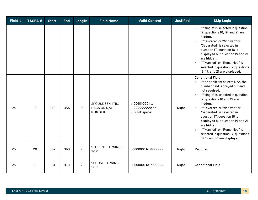| Field # | <b>TASFA#</b> | <b>Start</b> | <b>End</b> | Length         | <b>Field Name</b>                                 | <b>Valid Content</b>                                    | <b>Justified</b> | <b>Skip Logic</b>                                                                                                                                                                                                                                                                                                                                                                                                                                                                                    |
|---------|---------------|--------------|------------|----------------|---------------------------------------------------|---------------------------------------------------------|------------------|------------------------------------------------------------------------------------------------------------------------------------------------------------------------------------------------------------------------------------------------------------------------------------------------------------------------------------------------------------------------------------------------------------------------------------------------------------------------------------------------------|
|         |               |              |            |                |                                                   |                                                         |                  | If "single" is selected in question<br>$\circ$<br>17, questions 18, 19, and 21 are<br>hidden.<br>If "Divorced or Widowed" or<br>$\circ$<br>"Separated" is selected in<br>question 17, question 18 is<br>displayed but question 19 and 21<br>are hidden.<br>If "Married" or "Remarried" is<br>$\circ$<br>selected in question 17, questions<br>18, 19, and 21 are displayed.                                                                                                                          |
| 24.     | 19            | 348          | 356        | 9              | SPOUSE SSN, ITIN,<br>DACA OR N/A<br><b>NUMBER</b> | $\circ$ 001010001 to<br>999999999; or<br>o Blank spaces | Right            | <b>Conditional Field</b><br>If the applicant selects N/A, the<br>$\circ$<br>number field is greyed out and<br>not required.<br>If "single" is selected in question<br>$\circ$<br>17, questions 18 and 19 are<br>hidden.<br>If "Divorced or Widowed" or<br>$\circ$<br>"Separated" is selected in<br>question 17, question 18 is<br>displayed but question 19 and 21<br>are hidden.<br>If "Married" or "Remarried" is<br>$\circ$<br>selected in question 17, questions<br>18, 19 and 21 are displayed. |
| 25.     | 20            | 357          | 363        | $\overline{7}$ | <b>STUDENT EARNINGS</b><br>2021                   | 0000000 to 9999999                                      | Right            | Required                                                                                                                                                                                                                                                                                                                                                                                                                                                                                             |
| 26.     | 21            | 364          | 370        | $\overline{7}$ | <b>SPOUSE EARNINGS</b><br>2021                    | 0000000 to 9999999                                      | Right            | <b>Conditional Field</b>                                                                                                                                                                                                                                                                                                                                                                                                                                                                             |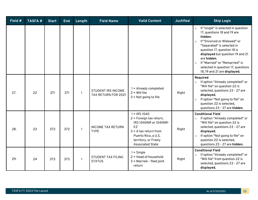| Field # | <b>TASFA#</b> | <b>Start</b> | <b>End</b> | Length       | <b>Field Name</b>                                | <b>Valid Content</b>                                                                                                                                                          | <b>Justified</b> | <b>Skip Logic</b>                                                                                                                                                                                                                                                                                                                                                      |
|---------|---------------|--------------|------------|--------------|--------------------------------------------------|-------------------------------------------------------------------------------------------------------------------------------------------------------------------------------|------------------|------------------------------------------------------------------------------------------------------------------------------------------------------------------------------------------------------------------------------------------------------------------------------------------------------------------------------------------------------------------------|
|         |               |              |            |              |                                                  |                                                                                                                                                                               |                  | If "single" is selected in question<br>$\circ$<br>17, questions 18 and 19 are<br>hidden.<br>If "Divorced or Widowed" or<br>$\circ$<br>"Separated" is selected in<br>question 17, question 18 is<br>displayed but question 19 and 21<br>are hidden.<br>If "Married" or "Remarried" is<br>$\Omega$<br>selected in question 17, questions<br>18, 19 and 21 are displayed. |
| 27.     | 22            | 371          | 371        | $\mathbf{1}$ | <b>STUDENT IRS INCOME</b><br>TAX RETURN FOR 2021 | $1 =$ Already completed<br>$2 =$ Will file<br>$3$ = Not going to file                                                                                                         | Right            | Required<br>If option "Already completed" or<br>$\circ$<br>"Will file" on question 22 is<br>selected, questions 23 - 27 are<br>displayed.<br>If option "Not going to file" on<br>$\circ$<br>question 22 is selected,<br>questions 23 - 27 are hidden.                                                                                                                  |
| 28.     | 23            | 372          | 372        | $\mathbf{1}$ | <b>INCOME TAX RETURN</b><br><b>TYPE</b>          | $1 = IRS 1040$<br>2 = Foreign tax return,<br>IRS 1040NR or 1040NR-<br>EZ<br>$3 = A$ tax return from<br>Puerto Rico, a U.S.<br>territory, or Freely<br><b>Associated State</b> | Right            | <b>Conditional Field</b><br>If option "Already completed" or<br>$\circ$<br>"Will file" on question 22 is<br>selected, questions 23 - 27 are<br>displayed.<br>If option "Not going to file" on<br>$\circ$<br>question 22 is selected,<br>questions 23 - 27 are hidden.                                                                                                  |
| 29.     | 24            | 373          | 373        | $\mathbf{1}$ | <b>STUDENT TAX FILING</b><br><b>STATUS</b>       | $1 =$ Single<br>$2 =$ Head of household<br>$3$ = Married - filed joint<br>return                                                                                              | Right            | <b>Conditional Field</b><br>If option "Already completed" or<br>$\circ$<br>"Will file" from question 22 is<br>selected, questions 23 - 27 are<br>displayed.                                                                                                                                                                                                            |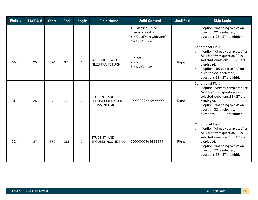| Field # | <b>TASFA#</b> | <b>Start</b> | <b>End</b> | Length         | <b>Field Name</b>                                       | <b>Valid Content</b>                                                                       | <b>Justified</b> | <b>Skip Logic</b>                                                                                                                                                                                                                                                       |
|---------|---------------|--------------|------------|----------------|---------------------------------------------------------|--------------------------------------------------------------------------------------------|------------------|-------------------------------------------------------------------------------------------------------------------------------------------------------------------------------------------------------------------------------------------------------------------------|
|         |               |              |            |                |                                                         | $4$ = Married - filed<br>separate return<br>$5 =$ Qualifying widow(er)<br>$6 = Don't know$ |                  | If option "Not going to file" on<br>$\circ$<br>question 22 is selected,<br>questions 23 - 27 are hidden.                                                                                                                                                                |
| 30.     | 25            | 374          | 374        | $\mathbf{1}$   | <b>SCHEDULE 1 WITH</b><br><b>FILED TAX RETURN</b>       | $1 = Yes$<br>$2 = No$<br>$3 = Don't know$                                                  | Right            | <b>Conditional Field</b><br>If option "Already completed" or<br>$\circ$<br>"Will file" from question 22 is<br>selected, questions 23 - 27 are<br>displayed.<br>If option "Not going to file" on<br>$\circ$<br>question 22 is selected,<br>questions 23 - 27 are hidden. |
| 31.     | 26            | 375          | 381        | $\overline{7}$ | STUDENT (AND<br>SPOUSE) ADJUSTED<br><b>GROSS INCOME</b> | -9999999 to 9999999                                                                        | Right            | <b>Conditional Field</b><br>If option "Already completed" or<br>$\circ$<br>"Will file" from question 22 is<br>selected, questions 23 - 27 are<br>displayed.<br>If option "Not going to file" on<br>$\circ$<br>question 22 is selected,<br>questions 23 - 27 are hidden. |
| 32.     | 27            | 382          | 388        | $\overline{7}$ | STUDENT (AND<br><b>SPOUSE) INCOME TAX</b>               | 0000000 to 9999999                                                                         | Right            | <b>Conditional Field</b><br>If option "Already completed" or<br>$\circ$<br>"Will file" from question 22 is<br>selected, questions 23 - 27 are<br>displayed.<br>If option "Not going to file" on<br>$\circ$<br>question 22 is selected,<br>questions 23 - 27 are hidden. |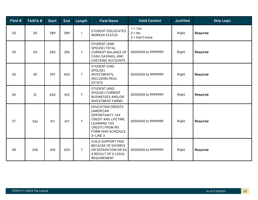| Field # | <b>TASFA#</b>   | <b>Start</b> | <b>End</b> | Length         | <b>Field Name</b>                                                                                                                                                          | <b>Valid Content</b>                      | <b>Justified</b> | <b>Skip Logic</b> |
|---------|-----------------|--------------|------------|----------------|----------------------------------------------------------------------------------------------------------------------------------------------------------------------------|-------------------------------------------|------------------|-------------------|
| 33.     | 28              | 389          | 389        | $\mathbf{1}$   | STUDENT DISLOCATED<br><b>WORKER STATUS</b>                                                                                                                                 | $1 = Yes$<br>$2 = No$<br>$3 = Don't know$ | Right            | Required          |
| 34.     | 29              | 390          | 396        | $\overline{7}$ | <b>STUDENT (AND</b><br>SPOUSE) TOTAL<br><b>CURRENT BALANCE OF</b><br>CASH, SAVINGS, AND<br><b>CHECKING ACCOUNTS</b>                                                        | 0000000 to 9999999                        | Right            | Required          |
| 35.     | 30              | 397          | 403        | $\overline{7}$ | <b>STUDENT (AND</b><br>SPOUSE)<br><b>INVESTMENTS,</b><br><b>INCLUDING REAL</b><br><b>ESTATE</b>                                                                            | 0000000 to 9999999                        | Right            | Required          |
| 36.     | 31              | 404          | 410        | $\overline{7}$ | <b>STUDENT (AND</b><br>SPOUSE) CURRENT<br><b>BUSINESSES AND/OR</b><br><b>INVESTMENT FARMS</b>                                                                              | 0000000 to 9999999                        | Right            | Required          |
| 37.     | 32a             | 411          | 417        | $\overline{7}$ | <b>EDUCATION CREDITS</b><br>(AMERICAN<br><b>OPPORTUNITY TAX</b><br><b>CREDIT AND LIFETIME</b><br><b>LEARNING TAX</b><br>CREDIT) FROM IRS<br>FORM 1040 SCHEDULE<br>3-LINE 3 | 0000000 to 9999999                        | Right            | Required          |
| 38.     | 32 <sub>b</sub> | 418          | 424        | $\overline{7}$ | CHILD SUPPORT PAID<br><b>BECAUSE OF DIVORCE</b><br>OR SEPARATION OR AS<br>A RESULT OF A LEGAL<br>REQUIREMENT                                                               | 0000000 to 9999999                        | Right            | Required          |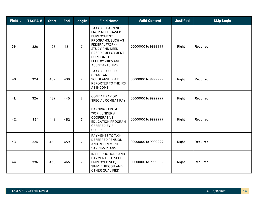| Field # | <b>TASFA#</b>   | <b>Start</b> | <b>End</b> | Length         | <b>Field Name</b>                                                                                                                                                                                                                   | <b>Valid Content</b> | <b>Justified</b> | <b>Skip Logic</b> |
|---------|-----------------|--------------|------------|----------------|-------------------------------------------------------------------------------------------------------------------------------------------------------------------------------------------------------------------------------------|----------------------|------------------|-------------------|
| 39.     | 32c             | 425          | 431        | 7 <sup>1</sup> | <b>TAXABLE EARNINGS</b><br>FROM NEED-BASED<br><b>EMPLOYMENT</b><br>PROGRAMS, SUCH AS<br><b>FEDERAL WORK-</b><br><b>STUDY AND NEED-</b><br><b>BASED EMPLOYMENT</b><br>PORTIONS OF<br><b>FELLOWSHIPS AND</b><br><b>ASSISTANTSHIPS</b> | 0000000 to 9999999   | Right            | Required          |
| 40.     | 32d             | 432          | 438        | 7 <sup>1</sup> | <b>TAXABLE COLLEGE</b><br><b>GRANT AND</b><br><b>SCHOLARSHIP AID</b><br>REPORTED TO THE IRS<br><b>AS INCOME</b>                                                                                                                     | 0000000 to 9999999   | Right            | Required          |
| 41.     | 32e             | 439          | 445        | $\overline{7}$ | <b>COMBAT PAY OR</b><br>SPECIAL COMBAT PAY                                                                                                                                                                                          | 0000000 to 9999999   | Right            | Required          |
| 42.     | 32f             | 446          | 452        | $\overline{7}$ | <b>EARNINGS FROM</b><br><b>WORK UNDER A</b><br>COOPERATIVE<br><b>EDUCATION PROGRAM</b><br>OFFERED BY A<br>COLLEGE                                                                                                                   | 0000000 to 9999999   | Right            | Required          |
| 43.     | 33a             | 453          | 459        | $\overline{7}$ | PAYMENTS TO TAX-<br><b>DEFERRED PENSION</b><br>AND RETIREMENT<br><b>SAVINGS PLANS</b>                                                                                                                                               | 0000000 to 9999999   | Right            | Required          |
| 44.     | 33 <sub>b</sub> | 460          | 466        | 7 <sup>1</sup> | IRA DEDUCTIONS AND<br>PAYMENTS TO SELF-<br>EMPLOYED SEP,<br>SIMPLE, KEOGH AND<br>OTHER QUALIFIED                                                                                                                                    | 0000000 to 9999999   | Right            | Required          |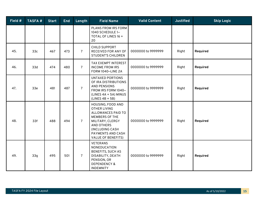| Field # | <b>TASFA#</b>   | <b>Start</b> | <b>End</b> | Length         | <b>Field Name</b>                                                                                                                                                                                     | <b>Valid Content</b> | <b>Justified</b> | <b>Skip Logic</b> |
|---------|-----------------|--------------|------------|----------------|-------------------------------------------------------------------------------------------------------------------------------------------------------------------------------------------------------|----------------------|------------------|-------------------|
|         |                 |              |            |                | PLANS FROM IRS FORM<br>1040 SCHEDULE 1-<br>TOTAL OF LINES 16 +<br>20                                                                                                                                  |                      |                  |                   |
| 45.     | 33 <sub>c</sub> | 467          | 473        | 7 <sup>1</sup> | <b>CHILD SUPPORT</b><br>RECEIVED FOR ANY OF<br><b>STUDENT'S CHILDREN</b>                                                                                                                              | 0000000 to 9999999   | Right            | Required          |
| 46.     | 33d             | 474          | 480        | 7 <sup>1</sup> | TAX EXEMPT INTEREST<br><b>INCOME FROM IRS</b><br>FORM 1040-LINE 2A                                                                                                                                    | 0000000 to 9999999   | Right            | Required          |
| 47.     | 33e             | 481          | 487        | 7 <sup>1</sup> | UNTAXED PORTIONS<br>OF IRA DISTRIBUTIONS<br><b>AND PENSIONS</b><br>FROM IRS FORM 1040-<br>(LINES 4A + 5A) MINUS<br>$(LINES AB + 5B)$                                                                  | 0000000 to 9999999   | Right            | Required          |
| 48.     | 33f             | 488          | 494        | 7 <sup>1</sup> | HOUSING, FOOD AND<br><b>OTHER LIVING</b><br>ALLOWANCES PAID TO<br><b>MEMBERS OF THE</b><br>MILITARY, CLERGY<br><b>AND OTHERS</b><br>(INCLUDING CASH<br>PAYMENTS AND CASH<br><b>VALUE OF BENEFITS)</b> | 0000000 to 9999999   | Right            | Required          |
| 49.     | 33q             | 495          | 501        | 7 <sup>1</sup> | <b>VETERANS</b><br>NONEDUCATION<br><b>BENEFITS, SUCH AS</b><br>DISABILITY, DEATH<br>PENSION, OR<br><b>DEPENDENCY &amp;</b><br><b>INDEMNITY</b>                                                        | 0000000 to 9999999   | Right            | Required          |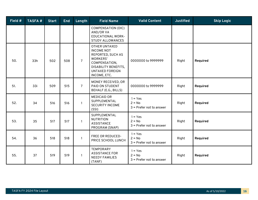| Field # | <b>TASFA#</b> | <b>Start</b> | <b>End</b> | Length         | <b>Field Name</b>                                                                                                                                             | <b>Valid Content</b>                                | <b>Justified</b> | <b>Skip Logic</b> |
|---------|---------------|--------------|------------|----------------|---------------------------------------------------------------------------------------------------------------------------------------------------------------|-----------------------------------------------------|------------------|-------------------|
|         |               |              |            |                | <b>COMPENSATION (DIC)</b><br>AND/OR VA<br><b>EDUCATIONAL WORK-</b><br><b>STUDY ALLOWANCES</b>                                                                 |                                                     |                  |                   |
| 50.     | 33h           | 502          | 508        | $\overline{7}$ | <b>OTHER UNTAXED</b><br><b>INCOME NOT</b><br>REPORTED, SUCH AS<br>WORKERS'<br>COMPENSATION,<br>DISABILITY BENEFITS,<br><b>UNTAXED FOREIGN</b><br>INCOME, ETC. | 0000000 to 9999999                                  | Right            | Required          |
| 51.     | 33i           | 509          | 515        | $\overline{7}$ | MONEY RECEIVED, OR<br>PAID ON STUDENT<br>BEHALF (E.G., BILLS)                                                                                                 | 0000000 to 9999999                                  | Right            | Required          |
| 52.     | 34            | 516          | 516        | $\mathbf{1}$   | <b>MEDICAID OR</b><br>SUPPLEMENTAL<br><b>SECURITY INCOME</b><br>(SSI)                                                                                         | $1 = Yes$<br>$2 = No$<br>$3$ = Prefer not to answer | Right            | Required          |
| 53.     | 35            | 517          | 517        | $\mathbf{1}$   | SUPPLEMENTAL<br><b>NUTRITION</b><br><b>ASSISTANCE</b><br>PROGRAM (SNAP)                                                                                       | $1 = Yes$<br>$2 = No$<br>$3$ = Prefer not to answer | Right            | Required          |
| 54.     | 36            | 518          | 518        | $\mathbf{1}$   | FREE OR REDUCED-<br>PRICE SCHOOL LUNCH                                                                                                                        | $1 = Yes$<br>$2 = No$<br>$3$ = Prefer not to answer | Right            | Required          |
| 55.     | 37            | 519          | 519        | $\mathbf{1}$   | <b>TEMPORARY</b><br><b>ASSISTANCE FOR</b><br><b>NEEDY FAMILIES</b><br>(TANF)                                                                                  | $1 = Yes$<br>$2 = No$<br>$3$ = Prefer not to answer | Right            | Required          |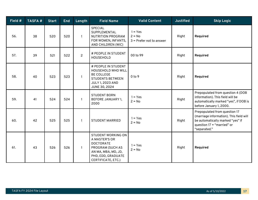| Field # | <b>TASFA#</b> | <b>Start</b> | <b>End</b> | Length         | <b>Field Name</b>                                                                                                                                     | <b>Valid Content</b>                                | <b>Justified</b> | <b>Skip Logic</b>                                                                                                                                            |
|---------|---------------|--------------|------------|----------------|-------------------------------------------------------------------------------------------------------------------------------------------------------|-----------------------------------------------------|------------------|--------------------------------------------------------------------------------------------------------------------------------------------------------------|
| 56.     | 38            | 520          | 520        | $\mathbf{1}$   | <b>SPECIAL</b><br>SUPPLEMENTAL<br><b>NUTRITION PROGRAM</b><br>FOR WOMEN, INFANTS,<br>AND CHILDREN (WIC)                                               | $1 = Yes$<br>$2 = No$<br>$3$ = Prefer not to answer | Right            | Required                                                                                                                                                     |
| 57.     | 39            | 521          | 522        | $\overline{2}$ | # PEOPLE IN STUDENT<br>HOUSEHOLD                                                                                                                      | 00 to 99                                            | Right            | Required                                                                                                                                                     |
| 58.     | 40            | 523          | 523        | $\mathbf{1}$   | # PEOPLE IN STUDENT<br>HOUSEHOLD WHO WILL<br><b>BE COLLEGE</b><br><b>STUDENTS BETWEEN</b><br>JULY 1, 2023 AND<br>JUNE 30, 2024                        | $0$ to $9$                                          | Right            | Required                                                                                                                                                     |
| 59.     | 41            | 524          | 524        | $\mathbf{1}$   | <b>STUDENT BORN</b><br><b>BEFORE JANUARY 1,</b><br>2000                                                                                               | $1 = Yes$<br>$2 = No$                               | Right            | Prepopulated from question 4 (DOB<br>information). This field will be<br>automatically marked "yes", if DOB is<br>before January 1, 2000.                    |
| 60.     | 42            | 525          | 525        | $\mathbf{1}$   | <b>STUDENT MARRIED</b>                                                                                                                                | $1 = Yes$<br>$2 = No$                               | Right            | Prepopulated from question 17<br>(marriage information). This field will<br>be automatically marked "yes" if<br>question $17 =$ "married" or<br>"separated." |
| 61.     | 43            | 526          | 526        | $\mathbf{1}$   | <b>STUDENT WORKING ON</b><br>A MASTER'S OR<br><b>DOCTORATE</b><br>PROGRAM (SUCH AS<br>AN MA, MBA, MD, JD,<br>PHD, EDD, GRADUATE<br>CERTIFICATE, ETC.) | $1 = Yes$<br>$2 = No$                               | Right            | Required                                                                                                                                                     |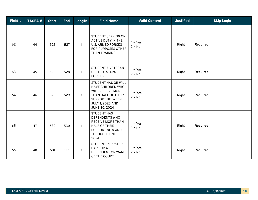| Field $#$ | <b>TASFA#</b> | <b>Start</b> | <b>End</b> | Length       | <b>Field Name</b>                                                                                                                                                | <b>Valid Content</b>  | <b>Justified</b> | <b>Skip Logic</b> |
|-----------|---------------|--------------|------------|--------------|------------------------------------------------------------------------------------------------------------------------------------------------------------------|-----------------------|------------------|-------------------|
| 62.       | 44            | 527          | 527        | $\mathbf{1}$ | STUDENT SERVING ON<br><b>ACTIVE DUTY IN THE</b><br><b>U.S. ARMED FORCES</b><br>FOR PURPOSES OTHER<br><b>THAN TRAINING</b>                                        | $1 = Yes$<br>$2 = No$ | Right            | Required          |
| 63.       | 45            | 528          | 528        | $\mathbf{1}$ | STUDENT A VETERAN<br>OF THE U.S. ARMED<br><b>FORCES</b>                                                                                                          | $1 = Yes$<br>$2 = No$ | Right            | Required          |
| 64.       | 46            | 529          | 529        | $\mathbf{1}$ | <b>STUDENT HAS OR WILL</b><br>HAVE CHILDREN WHO<br><b>WILL RECEIVE MORE</b><br>THAN HALF OF THEIR<br><b>SUPPORT BETWEEN</b><br>JULY 1, 2023 AND<br>JUNE 30, 2024 | $1 = Yes$<br>$2 = No$ | Right            | Required          |
| 65.       | 47            | 530          | 530        | $\mathbf{1}$ | <b>STUDENT HAS</b><br><b>DEPENDENTS WHO</b><br><b>RECEIVE MORE THAN</b><br><b>HALF OF THEIR</b><br><b>SUPPORT NOW AND</b><br>THROUGH JUNE 30,<br>2024            | $1 = Yes$<br>$2 = No$ | Right            | Required          |
| 66.       | 48            | 531          | 531        | 1            | <b>STUDENT IN FOSTER</b><br><b>CARE OR A</b><br>DEPENDENT OR WARD<br>OF THE COURT                                                                                | $1 = Yes$<br>$2 = No$ | Right            | Required          |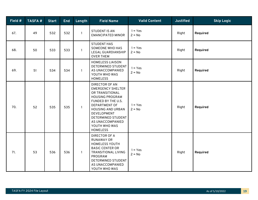| Field # | <b>TASFA#</b> | <b>Start</b> | <b>End</b> | Length       | <b>Field Name</b>                                                                                                                                                                                                                                              | <b>Valid Content</b>  | <b>Justified</b> | <b>Skip Logic</b> |
|---------|---------------|--------------|------------|--------------|----------------------------------------------------------------------------------------------------------------------------------------------------------------------------------------------------------------------------------------------------------------|-----------------------|------------------|-------------------|
| 67.     | 49            | 532          | 532        | $\mathbf{1}$ | <b>STUDENT IS AN</b><br><b>EMANCIPATED MINOR</b>                                                                                                                                                                                                               | $1 = Yes$<br>$2 = No$ | Right            | Required          |
| 68.     | 50            | 533          | 533        | $\mathbf{1}$ | <b>STUDENT HAS</b><br><b>SOMEONE WHO HAS</b><br>LEGAL GUARDIANSHIP<br><b>OVER THEM</b>                                                                                                                                                                         | $1 = Yes$<br>$2 = No$ | Right            | Required          |
| 69.     | 51            | 534          | 534        | $\mathbf{1}$ | <b>HOMELESS LIAISON</b><br>DETERMINED STUDENT<br>AS UNACCOMPANIED<br>YOUTH WHO WAS<br><b>HOMELESS</b>                                                                                                                                                          | $1 = Yes$<br>$2 = No$ | Right            | Required          |
| 70.     | 52            | 535          | 535        | $\mathbf{1}$ | <b>DIRECTOR OF AN</b><br><b>EMERGENCY SHELTER</b><br>OR TRANSITIONAL<br><b>HOUSING PROGRAM</b><br>FUNDED BY THE U.S.<br>DEPARTMENT OF<br><b>HOUSING AND URBAN</b><br>DEVELOPMENT<br>DETERMINED STUDENT<br>AS UNACCOMPANIED<br>YOUTH WHO WAS<br><b>HOMELESS</b> | $1 = Yes$<br>$2 = No$ | Right            | Required          |
| 71.     | 53            | 536          | 536        | $\mathbf{1}$ | <b>DIRECTOR OF A</b><br><b>RUNAWAY OR</b><br><b>HOMELESS YOUTH</b><br><b>BASIC CENTER OR</b><br><b>TRANSITIONAL LIVING</b><br>PROGRAM<br>DETERMINED STUDENT<br>AS UNACCOMPANIED<br>YOUTH WHO WAS                                                               | $1 = Yes$<br>$2 = No$ | Right            | Required          |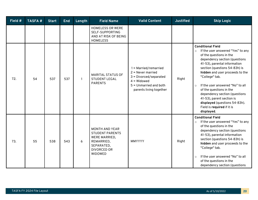| Field # | <b>TASFA#</b> | <b>Start</b> | <b>End</b> | Length | <b>Field Name</b>                                                                                                                    | <b>Valid Content</b>                                                                                                                         | <b>Justified</b> | <b>Skip Logic</b>                                                                                                                                                                                                                                                                                                                                                                                                                                                               |
|---------|---------------|--------------|------------|--------|--------------------------------------------------------------------------------------------------------------------------------------|----------------------------------------------------------------------------------------------------------------------------------------------|------------------|---------------------------------------------------------------------------------------------------------------------------------------------------------------------------------------------------------------------------------------------------------------------------------------------------------------------------------------------------------------------------------------------------------------------------------------------------------------------------------|
|         |               |              |            |        | <b>HOMELESS OR WERE</b><br>SELF-SUPPORTING<br>AND AT RISK OF BEING<br><b>HOMELESS</b>                                                |                                                                                                                                              |                  |                                                                                                                                                                                                                                                                                                                                                                                                                                                                                 |
| 72.     | 54            | 537          | 537        | 1      | <b>MARITAL STATUS OF</b><br><b>STUDENT LEGAL</b><br><b>PARENTS</b>                                                                   | 1 = Married/remarried<br>$2$ = Never married<br>3 = Divorced/separated<br>$4 = Widowed$<br>5 = Unmarried and both<br>parents living together | Right            | <b>Conditional Field</b><br>If the user answered "Yes" to any<br>$\circ$<br>of the questions in the<br>dependency section (questions<br>41-53), parental information<br>section (questions 54-83h) is<br>hidden and user proceeds to the<br>"College" tab.<br>If the user answered "No" to all<br>$\circ$<br>of the questions in the<br>dependency section (questions<br>41-53), parent section is<br>displayed (questions 54-83h).<br>Field is required if it is<br>displayed. |
| 73.     | 55            | 538          | 543        | 6      | <b>MONTH AND YEAR</b><br><b>STUDENT PARENTS</b><br>WERE MARRIED,<br>REMARRIED,<br>SEPARATED,<br><b>DIVORCED OR</b><br><b>WIDOWED</b> | <b>MMYYYY</b>                                                                                                                                | Right            | <b>Conditional Field</b><br>If the user answered "Yes" to any<br>$\circ$<br>of the questions in the<br>dependency section (questions<br>41-53), parental information<br>section (questions 54-83h) is<br>hidden and user proceeds to the<br>"College" tab.<br>If the user answered "No" to all<br>$\circ$<br>of the questions in the<br>dependency section (questions                                                                                                           |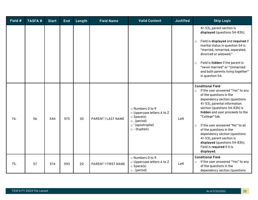| Field # | <b>TASFA#</b> | <b>Start</b> | <b>End</b> | Length | <b>Field Name</b>   | <b>Valid Content</b>                                                                                                             | <b>Justified</b> | <b>Skip Logic</b>                                                                                                                                                                                                                                                                                                                                                                                                                                                               |
|---------|---------------|--------------|------------|--------|---------------------|----------------------------------------------------------------------------------------------------------------------------------|------------------|---------------------------------------------------------------------------------------------------------------------------------------------------------------------------------------------------------------------------------------------------------------------------------------------------------------------------------------------------------------------------------------------------------------------------------------------------------------------------------|
|         |               |              |            |        |                     |                                                                                                                                  |                  | 41-53), parent section is<br>displayed (questions 54-83h).<br>Field is displayed and required if<br>$\circ$<br>marital status in question 54 is<br>"married, remarried, separated,<br>divorced or widowed."<br>Field is hidden if the parent is<br>$\circ$<br>"never married" or "Unmarried<br>and both parents living together"<br>in question 54.                                                                                                                             |
| 74.     | 56            | 544          | 573        | 30     | PARENT 1 LAST NAME  | o Numbers 0 to 9<br>o Uppercase letters A to Z<br>$\circ$ Space(s)<br>$\circ$ . (period)<br>o'(apostrophe)<br>$\circ$ - (hyphen) | Left             | <b>Conditional Field</b><br>If the user answered "Yes" to any<br>$\circ$<br>of the questions in the<br>dependency section (questions<br>41-53), parental information<br>section (questions 54-83h) is<br>hidden and user proceeds to the<br>"College" tab.<br>If the user answered "No" to all<br>$\circ$<br>of the questions in the<br>dependency section (questions<br>41-53), parent section is<br>displayed (questions 54-83h).<br>Field is required if it is<br>displayed. |
| 75.     | 57            | 574          | 593        | 20     | PARENT 1 FIRST NAME | o Numbers 0 to 9<br>o Uppercase letters A to Z<br>$\circ$ Space(s)<br>$\circ$ . (period)                                         | Left             | <b>Conditional Field</b><br>If the user answered "Yes" to any<br>$\circ$<br>of the questions in the<br>dependency section (questions                                                                                                                                                                                                                                                                                                                                            |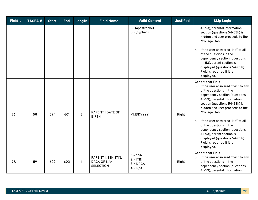| Field # | <b>TASFA#</b> | <b>Start</b> | <b>End</b> | Length | <b>Field Name</b>                                       | <b>Valid Content</b>                               | <b>Justified</b> | <b>Skip Logic</b>                                                                                                                                                                                                                                                                                                                                                                                                                                                               |
|---------|---------------|--------------|------------|--------|---------------------------------------------------------|----------------------------------------------------|------------------|---------------------------------------------------------------------------------------------------------------------------------------------------------------------------------------------------------------------------------------------------------------------------------------------------------------------------------------------------------------------------------------------------------------------------------------------------------------------------------|
|         |               |              |            |        |                                                         | o'(apostrophe)<br>$\circ$ - (hyphen)               |                  | 41-53), parental information<br>section (questions 54-83h) is<br>hidden and user proceeds to the<br>"College" tab.<br>If the user answered "No" to all<br>$\circ$<br>of the questions in the<br>dependency section (questions<br>41-53), parent section is<br>displayed (questions 54-83h).<br>Field is required if it is<br>displayed.                                                                                                                                         |
| 76.     | 58            | 594          | 601        | 8      | PARENT 1 DATE OF<br><b>BIRTH</b>                        | MMDDYYYY                                           | Right            | <b>Conditional Field</b><br>If the user answered "Yes" to any<br>$\circ$<br>of the questions in the<br>dependency section (questions<br>41-53), parental information<br>section (questions 54-83h) is<br>hidden and user proceeds to the<br>"College" tab.<br>If the user answered "No" to all<br>$\circ$<br>of the questions in the<br>dependency section (questions<br>41-53), parent section is<br>displayed (questions 54-83h).<br>Field is required if it is<br>displayed. |
| 77.     | 59            | 602          | 602        |        | PARENT 1: SSN, ITIN,<br>DACA OR N/A<br><b>SELECTION</b> | $1 =$ SSN<br>$2 = ITIN$<br>$3 = DACA$<br>$4 = N/A$ | Right            | <b>Conditional Field</b><br>If the user answered "Yes" to any<br>$\circ$<br>of the questions in the<br>dependency section (questions<br>41-53), parental information                                                                                                                                                                                                                                                                                                            |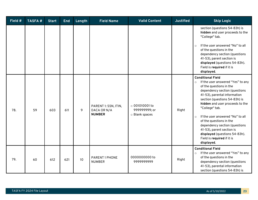| Field # | <b>TASFA#</b> | <b>Start</b> | <b>End</b> | Length | <b>Field Name</b>                                    | <b>Valid Content</b>                                    | <b>Justified</b> | <b>Skip Logic</b>                                                                                                                                                                                                                                                                                                                                                                                                                                                               |
|---------|---------------|--------------|------------|--------|------------------------------------------------------|---------------------------------------------------------|------------------|---------------------------------------------------------------------------------------------------------------------------------------------------------------------------------------------------------------------------------------------------------------------------------------------------------------------------------------------------------------------------------------------------------------------------------------------------------------------------------|
|         |               |              |            |        |                                                      |                                                         |                  | section (questions 54-83h) is<br>hidden and user proceeds to the<br>"College" tab.<br>If the user answered "No" to all<br>$\circ$<br>of the questions in the<br>dependency section (questions<br>41-53), parent section is<br>displayed (questions 54-83h).<br>Field is required if it is<br>displayed.                                                                                                                                                                         |
| 78.     | 59            | 603          | 611        | 9      | PARENT 1: SSN, ITIN,<br>DACA OR N/A<br><b>NUMBER</b> | $\circ$ 001010001 to<br>999999999; or<br>o Blank spaces | Right            | <b>Conditional Field</b><br>If the user answered "Yes" to any<br>$\circ$<br>of the questions in the<br>dependency section (questions<br>41-53), parental information<br>section (questions 54-83h) is<br>hidden and user proceeds to the<br>"College" tab.<br>If the user answered "No" to all<br>$\circ$<br>of the questions in the<br>dependency section (questions<br>41-53), parent section is<br>displayed (questions 54-83h).<br>Field is required if it is<br>displayed. |
| 79.     | 60            | 612          | 621        | 10     | PARENT 1 PHONE<br><b>NUMBER</b>                      | 0000000000 to<br>999999999                              | Right            | <b>Conditional Field</b><br>If the user answered "Yes" to any<br>$\circ$<br>of the questions in the<br>dependency section (questions<br>41-53), parental information<br>section (questions 54-83h) is                                                                                                                                                                                                                                                                           |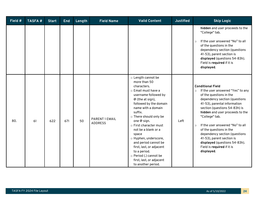| Field # | <b>TASFA#</b> | <b>Start</b> | <b>End</b> | Length | <b>Field Name</b>                | <b>Valid Content</b>                                                                                                                                                                                                                                                                                                                                                                                                                                                | <b>Justified</b> | <b>Skip Logic</b>                                                                                                                                                                                                                                                                                                                                                                                                                                                               |
|---------|---------------|--------------|------------|--------|----------------------------------|---------------------------------------------------------------------------------------------------------------------------------------------------------------------------------------------------------------------------------------------------------------------------------------------------------------------------------------------------------------------------------------------------------------------------------------------------------------------|------------------|---------------------------------------------------------------------------------------------------------------------------------------------------------------------------------------------------------------------------------------------------------------------------------------------------------------------------------------------------------------------------------------------------------------------------------------------------------------------------------|
|         |               |              |            |        |                                  |                                                                                                                                                                                                                                                                                                                                                                                                                                                                     |                  | hidden and user proceeds to the<br>"College" tab.<br>If the user answered "No" to all<br>$\circ$<br>of the questions in the<br>dependency section (questions<br>41-53), parent section is<br>displayed (questions 54-83h).<br>Field is required if it is<br>displayed.                                                                                                                                                                                                          |
| 80.     | 61            | 622          | 671        | 50     | PARENT 1 EMAIL<br><b>ADDRESS</b> | o Length cannot be<br>more than 50<br>characters.<br>o Email must have a<br>username followed by<br>$@$ (the at sign),<br>followed by the domain<br>name with a domain<br>suffix.<br>o There should only be<br>one @ sign.<br>$\circ$ First character must<br>not be a blank or a<br>space<br>o Hyphen, underscore,<br>and period cannot be<br>first, last, or adjacent<br>to a period.<br>o Period (.) cannot be<br>first, last, or adjacent<br>to another period. | Left             | <b>Conditional Field</b><br>If the user answered "Yes" to any<br>$\circ$<br>of the questions in the<br>dependency section (questions<br>41-53), parental information<br>section (questions 54-83h) is<br>hidden and user proceeds to the<br>"College" tab.<br>If the user answered "No" to all<br>$\circ$<br>of the questions in the<br>dependency section (questions<br>41-53), parent section is<br>displayed (questions 54-83h).<br>Field is required if it is<br>displayed. |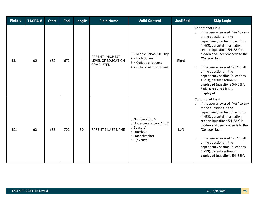| Field # | <b>TASFA#</b> | <b>Start</b> | <b>End</b> | Length       | <b>Field Name</b>                                          | <b>Valid Content</b>                                                                                                             | <b>Justified</b> | <b>Skip Logic</b>                                                                                                                                                                                                                                                                                                                                                                                                                                                               |
|---------|---------------|--------------|------------|--------------|------------------------------------------------------------|----------------------------------------------------------------------------------------------------------------------------------|------------------|---------------------------------------------------------------------------------------------------------------------------------------------------------------------------------------------------------------------------------------------------------------------------------------------------------------------------------------------------------------------------------------------------------------------------------------------------------------------------------|
| 81.     | 62            | 672          | 672        | $\mathbf{1}$ | PARENT 1 HIGHEST<br>LEVEL OF EDUCATION<br><b>COMPLETED</b> | 1 = Middle School/Jr. High<br>2 = High School<br>3 = College or beyond<br>4 = Other/unknown Blank                                | Right            | <b>Conditional Field</b><br>If the user answered "Yes" to any<br>$\circ$<br>of the questions in the<br>dependency section (questions<br>41-53), parental information<br>section (questions 54-83h) is<br>hidden and user proceeds to the<br>"College" tab.<br>If the user answered "No" to all<br>$\circ$<br>of the questions in the<br>dependency section (questions<br>41-53), parent section is<br>displayed (questions 54-83h).<br>Field is required if it is<br>displayed. |
| 82.     | 63            | 673          | 702        | 30           | <b>PARENT 2 LAST NAME</b>                                  | o Numbers 0 to 9<br>o Uppercase letters A to Z<br>$\circ$ Space(s)<br>$\circ$ . (period)<br>o'(apostrophe)<br>$\circ$ - (hyphen) | Left             | <b>Conditional Field</b><br>If the user answered "Yes" to any<br>$\circ$<br>of the questions in the<br>dependency section (questions<br>41-53), parental information<br>section (questions 54-83h) is<br>hidden and user proceeds to the<br>"College" tab.<br>If the user answered "No" to all<br>$\circ$<br>of the questions in the<br>dependency section (questions<br>41-53), parent section is<br>displayed (questions 54-83h).                                             |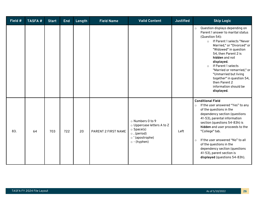| Field $#$ | <b>TASFA#</b> | <b>Start</b> | <b>End</b> | Length | <b>Field Name</b>   | <b>Valid Content</b>                                                                                                             | <b>Justified</b> | <b>Skip Logic</b>                                                                                                                                                                                                                                                                                                                                                                                                                      |
|-----------|---------------|--------------|------------|--------|---------------------|----------------------------------------------------------------------------------------------------------------------------------|------------------|----------------------------------------------------------------------------------------------------------------------------------------------------------------------------------------------------------------------------------------------------------------------------------------------------------------------------------------------------------------------------------------------------------------------------------------|
|           |               |              |            |        |                     |                                                                                                                                  |                  | Question displays depending on<br>$\circ$<br>Parent 1 answer to marital status<br>(Question 54):<br>If Parent 1 selects "Never<br>$\circ$<br>Married," or "Divorced" or<br>"Widowed" in question<br>54, then Parent 2 is<br>hidden and not<br>displayed.<br>If Parent 1 selects<br>$\circ$<br>"Married or remarried," or<br>"Unmarried but living<br>together" in question 54,<br>then Parent 2<br>information should be<br>displayed. |
| 83.       | 64            | 703          | 722        | 20     | PARENT 2 FIRST NAME | o Numbers 0 to 9<br>o Uppercase letters A to Z<br>$\circ$ Space(s)<br>$\circ$ . (period)<br>o'(apostrophe)<br>$\circ$ - (hyphen) | Left             | <b>Conditional Field</b><br>If the user answered "Yes" to any<br>$\circ$<br>of the questions in the<br>dependency section (questions<br>41-53), parental information<br>section (questions 54-83h) is<br>hidden and user proceeds to the<br>"College" tab.<br>If the user answered "No" to all<br>$\circ$<br>of the questions in the<br>dependency section (questions<br>41-53), parent section is<br>displayed (questions 54-83h).    |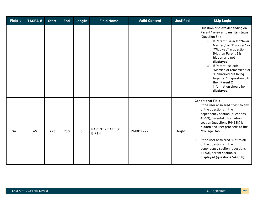| Field $#$ | <b>TASFA#</b> | <b>Start</b> | <b>End</b> | Length | <b>Field Name</b>                | <b>Valid Content</b> | <b>Justified</b> | <b>Skip Logic</b>                                                                                                                                                                                                                                                                                                                                                                                                                      |
|-----------|---------------|--------------|------------|--------|----------------------------------|----------------------|------------------|----------------------------------------------------------------------------------------------------------------------------------------------------------------------------------------------------------------------------------------------------------------------------------------------------------------------------------------------------------------------------------------------------------------------------------------|
|           |               |              |            |        |                                  |                      |                  | Question displays depending on<br>$\circ$<br>Parent 1 answer to marital status<br>(Question 54):<br>If Parent 1 selects "Never<br>$\circ$<br>Married," or "Divorced" or<br>"Widowed" in question<br>54, then Parent 2 is<br>hidden and not<br>displayed.<br>If Parent 1 selects<br>$\circ$<br>"Married or remarried," or<br>"Unmarried but living<br>together" in question 54,<br>then Parent 2<br>information should be<br>displayed. |
| 84.       | 65            | 723          | 730        | 8      | PARENT 2 DATE OF<br><b>BIRTH</b> | MMDDYYYY             | Right            | <b>Conditional Field</b><br>If the user answered "Yes" to any<br>$\circ$<br>of the questions in the<br>dependency section (questions<br>41-53), parental information<br>section (questions 54-83h) is<br>hidden and user proceeds to the<br>"College" tab.<br>If the user answered "No" to all<br>$\circ$<br>of the questions in the<br>dependency section (questions<br>41-53), parent section is<br>displayed (questions 54-83h).    |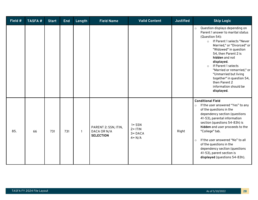| Field # | <b>TASFA#</b> | <b>Start</b> | <b>End</b> | Length       | <b>Field Name</b>                                       | <b>Valid Content</b>                               | <b>Justified</b> | <b>Skip Logic</b>                                                                                                                                                                                                                                                                                                                                                                                                                      |
|---------|---------------|--------------|------------|--------------|---------------------------------------------------------|----------------------------------------------------|------------------|----------------------------------------------------------------------------------------------------------------------------------------------------------------------------------------------------------------------------------------------------------------------------------------------------------------------------------------------------------------------------------------------------------------------------------------|
|         |               |              |            |              |                                                         |                                                    |                  | Question displays depending on<br>$\circ$<br>Parent 1 answer to marital status<br>(Question 54):<br>If Parent 1 selects "Never<br>$\circ$<br>Married," or "Divorced" or<br>"Widowed" in question<br>54, then Parent 2 is<br>hidden and not<br>displayed.<br>If Parent 1 selects<br>$\circ$<br>"Married or remarried," or<br>"Unmarried but living<br>together" in question 54,<br>then Parent 2<br>information should be<br>displayed. |
| 85.     | 66            | 731          | 731        | $\mathbf{1}$ | PARENT 2: SSN, ITIN,<br>DACA OR N/A<br><b>SELECTION</b> | $1 = SSN$<br>$2 = ITIN$<br>$3 = DACA$<br>$4 = N/A$ | Right            | <b>Conditional Field</b><br>If the user answered "Yes" to any<br>$\circ$<br>of the questions in the<br>dependency section (questions<br>41-53), parental information<br>section (questions 54-83h) is<br>hidden and user proceeds to the<br>"College" tab.<br>If the user answered "No" to all<br>$\circ$<br>of the questions in the<br>dependency section (questions<br>41-53), parent section is<br>displayed (questions 54-83h).    |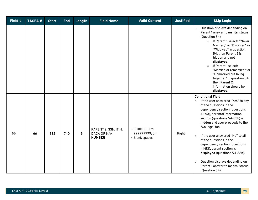| Field # | <b>TASFA#</b> | <b>Start</b> | <b>End</b> | Length | <b>Field Name</b>                                    | <b>Valid Content</b>                                    | <b>Justified</b> | <b>Skip Logic</b>                                                                                                                                                                                                                                                                                                                                                                                                                                                                                                                       |
|---------|---------------|--------------|------------|--------|------------------------------------------------------|---------------------------------------------------------|------------------|-----------------------------------------------------------------------------------------------------------------------------------------------------------------------------------------------------------------------------------------------------------------------------------------------------------------------------------------------------------------------------------------------------------------------------------------------------------------------------------------------------------------------------------------|
|         |               |              |            |        |                                                      |                                                         |                  | Question displays depending on<br>$\circ$<br>Parent 1 answer to marital status<br>(Question 54):<br>If Parent 1 selects "Never<br>$\circ$<br>Married," or "Divorced" or<br>"Widowed" in question<br>54, then Parent 2 is<br>hidden and not<br>displayed.<br>If Parent 1 selects<br>$\circ$<br>"Married or remarried," or<br>"Unmarried but living<br>together" in question 54,<br>then Parent 2<br>information should be<br>displayed.                                                                                                  |
| 86.     | 66            | 732          | 740        | 9      | PARENT 2: SSN, ITIN,<br>DACA OR N/A<br><b>NUMBER</b> | $\circ$ 001010001 to<br>999999999; or<br>o Blank spaces | Right            | <b>Conditional Field</b><br>If the user answered "Yes" to any<br>$\circ$<br>of the questions in the<br>dependency section (questions<br>41-53), parental information<br>section (questions 54-83h) is<br>hidden and user proceeds to the<br>"College" tab.<br>If the user answered "No" to all<br>$\circ$<br>of the questions in the<br>dependency section (questions<br>41-53), parent section is<br>displayed (questions 54-83h).<br>Question displays depending on<br>$\circ$<br>Parent 1 answer to marital status<br>(Question 54): |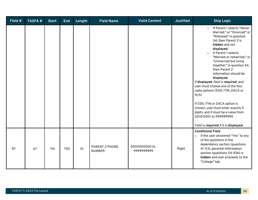| Field # | <b>TASFA#</b> | <b>Start</b> | <b>End</b> | Length          | <b>Field Name</b>               | <b>Valid Content</b>       | <b>Justified</b> | <b>Skip Logic</b>                                                                                                                                                                                                                                                                                                                                                                                                                                                                                                                                                                                                                                |
|---------|---------------|--------------|------------|-----------------|---------------------------------|----------------------------|------------------|--------------------------------------------------------------------------------------------------------------------------------------------------------------------------------------------------------------------------------------------------------------------------------------------------------------------------------------------------------------------------------------------------------------------------------------------------------------------------------------------------------------------------------------------------------------------------------------------------------------------------------------------------|
|         |               |              |            |                 |                                 |                            |                  | If Parent 1 selects "Never<br>$\circ$<br>Married," or "Divorced" or<br>"Widowed" in question<br>54, then Parent 2 is<br>hidden and not<br>displayed.<br>If Parent 1 selects<br>$\circ$<br>"Married or remarried," or<br>"Unmarried but living<br>together" in question 54,<br>then Parent 2<br>information should be<br>displayed.<br>If displayed, field is required, and<br>user must choose one of the four<br>radio options (SSN, ITIN, DACA or<br>$N/A$ )<br>If SSN, ITIN or DACA option is<br>chosen, user must enter exactly 9<br>digits, and it must be a value from<br>001010001 to 999999999.<br>Field is required if it is displayed. |
| 87.     | 67            | 741          | 750        | 10 <sup>°</sup> | PARENT 2 PHONE<br><b>NUMBER</b> | 0000000000 to<br>999999999 | Right            | <b>Conditional Field</b><br>If the user answered "Yes" to any<br>$\circ$<br>of the questions in the<br>dependency section (questions<br>41-53), parental information<br>section (questions 54-83h) is<br>hidden and user proceeds to the<br>"College" tab.                                                                                                                                                                                                                                                                                                                                                                                       |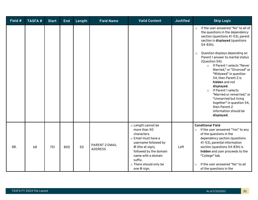| Field # | <b>TASFA#</b> | <b>Start</b> | <b>End</b> | Length | <b>Field Name</b>                | <b>Valid Content</b>                                                                                                                                                                                                       | <b>Justified</b> | <b>Skip Logic</b>                                                                                                                                                                                                                                                                                                                                                                                                                                                                                                                                                                                               |
|---------|---------------|--------------|------------|--------|----------------------------------|----------------------------------------------------------------------------------------------------------------------------------------------------------------------------------------------------------------------------|------------------|-----------------------------------------------------------------------------------------------------------------------------------------------------------------------------------------------------------------------------------------------------------------------------------------------------------------------------------------------------------------------------------------------------------------------------------------------------------------------------------------------------------------------------------------------------------------------------------------------------------------|
|         |               |              |            |        |                                  |                                                                                                                                                                                                                            |                  | If the user answered "No" to all of<br>$\circ$<br>the questions in the dependency<br>section (questions 41-53), parent<br>section is displayed (questions<br>54-83h).<br>Question displays depending on<br>$\circ$<br>Parent 1 answer to marital status<br>(Question 54):<br>If Parent 1 selects "Never<br>$\circ$<br>Married," or "Divorced" or<br>"Widowed" in question<br>54, then Parent 2 is<br>hidden and not<br>displayed.<br>If Parent 1 selects<br>$\circ$<br>"Married or remarried," or<br>"Unmarried but living<br>together" in question 54,<br>then Parent 2<br>information should be<br>displayed. |
| 88.     | 68            | 751          | 800        | 50     | PARENT 2 EMAIL<br><b>ADDRESS</b> | o Length cannot be<br>more than 50<br>characters.<br>o Email must have a<br>username followed by<br>$@$ (the at sign),<br>followed by the domain<br>name with a domain<br>suffix.<br>o There should only be<br>one @ sign. | Left             | <b>Conditional Field</b><br>If the user answered "Yes" to any<br>$\circ$<br>of the questions in the<br>dependency section (questions<br>41-53), parental information<br>section (questions 54-83h) is<br>hidden and user proceeds to the<br>"College" tab.<br>If the user answered "No" to all<br>$\circ$<br>of the questions in the                                                                                                                                                                                                                                                                            |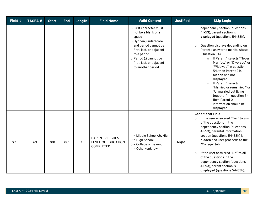| Field # | <b>TASFA#</b> | <b>Start</b> | <b>End</b> | Length | <b>Field Name</b>                                                 | <b>Valid Content</b>                                                                                                                                                                                                                  | <b>Justified</b> | <b>Skip Logic</b>                                                                                                                                                                                                                                                                                                                                                                                                                                                                                                                     |
|---------|---------------|--------------|------------|--------|-------------------------------------------------------------------|---------------------------------------------------------------------------------------------------------------------------------------------------------------------------------------------------------------------------------------|------------------|---------------------------------------------------------------------------------------------------------------------------------------------------------------------------------------------------------------------------------------------------------------------------------------------------------------------------------------------------------------------------------------------------------------------------------------------------------------------------------------------------------------------------------------|
|         |               |              |            |        |                                                                   | $\circ$ First character must<br>not be a blank or a<br>space<br>o Hyphen, underscore,<br>and period cannot be<br>first, last, or adjacent<br>to a period.<br>o Period (.) cannot be<br>first, last, or adjacent<br>to another period. |                  | dependency section (questions<br>41-53), parent section is<br>displayed (questions 54-83h).<br>Question displays depending on<br>$\circ$<br>Parent 1 answer to marital status<br>(Question 54):<br>If Parent 1 selects "Never<br>$\circ$<br>Married," or "Divorced" or<br>"Widowed" in question<br>54, then Parent 2 is<br>hidden and not<br>displayed.<br>If Parent 1 selects<br>$\circ$<br>"Married or remarried," or<br>"Unmarried but living<br>together" in question 54,<br>then Parent 2<br>information should be<br>displayed. |
| 89.     | 69            | 801          | 801        |        | <b>PARENT 2 HIGHEST</b><br>LEVEL OF EDUCATION<br><b>COMPLETED</b> | 1 = Middle School/Jr. High<br>$2 = High School$<br>$3$ = College or beyond<br>$4 = Other/unknown$                                                                                                                                     | Right            | <b>Conditional Field</b><br>If the user answered "Yes" to any<br>$\circ$<br>of the questions in the<br>dependency section (questions<br>41-53), parental information<br>section (questions 54-83h) is<br>hidden and user proceeds to the<br>"College" tab.<br>If the user answered "No" to all<br>$\circ$<br>of the questions in the<br>dependency section (questions<br>41-53), parent section is<br>displayed (questions 54-83h).                                                                                                   |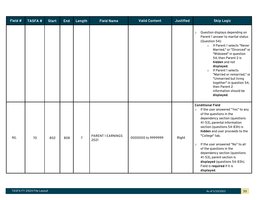| Field # | <b>TASFA#</b> | <b>Start</b> | <b>End</b> | Length         | <b>Field Name</b>         | <b>Valid Content</b> | <b>Justified</b> | <b>Skip Logic</b>                                                                                                                                                                                                                                                                                                                                                                                                                                                               |
|---------|---------------|--------------|------------|----------------|---------------------------|----------------------|------------------|---------------------------------------------------------------------------------------------------------------------------------------------------------------------------------------------------------------------------------------------------------------------------------------------------------------------------------------------------------------------------------------------------------------------------------------------------------------------------------|
|         |               |              |            |                |                           |                      |                  | Question displays depending on<br>$\circ$<br>Parent 1 answer to marital status<br>(Question 54):<br>If Parent 1 selects "Never<br>$\circ$<br>Married," or "Divorced" or<br>"Widowed" in question<br>54, then Parent 2 is<br>hidden and not<br>displayed.<br>If Parent 1 selects<br>$\circ$<br>"Married or remarried," or<br>"Unmarried but living<br>together" in question 54,<br>then Parent 2<br>information should be<br>displayed.                                          |
| 90.     | 70            | 802          | 808        | $\overline{7}$ | PARENT 1 EARNINGS<br>2021 | 0000000 to 9999999   | Right            | <b>Conditional Field</b><br>If the user answered "Yes" to any<br>$\circ$<br>of the questions in the<br>dependency section (questions<br>41-53), parental information<br>section (questions 54-83h) is<br>hidden and user proceeds to the<br>"College" tab.<br>If the user answered "No" to all<br>$\circ$<br>of the questions in the<br>dependency section (questions<br>41-53), parent section is<br>displayed (questions 54-83h).<br>Field is required if it is<br>displayed. |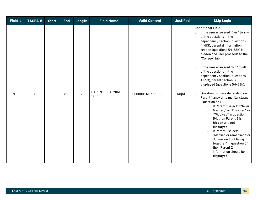| Field # | <b>TASFA#</b> | <b>Start</b> | <b>End</b> | Length         | <b>Field Name</b>                | <b>Valid Content</b> | <b>Justified</b> | <b>Skip Logic</b>                                                                                                                                                                                                                                                                                                                                                                                                                                                                                                                                                                                                                                                                                                                                                                                                                                                             |
|---------|---------------|--------------|------------|----------------|----------------------------------|----------------------|------------------|-------------------------------------------------------------------------------------------------------------------------------------------------------------------------------------------------------------------------------------------------------------------------------------------------------------------------------------------------------------------------------------------------------------------------------------------------------------------------------------------------------------------------------------------------------------------------------------------------------------------------------------------------------------------------------------------------------------------------------------------------------------------------------------------------------------------------------------------------------------------------------|
| 91.     | 71            | 809          | 815        | $\overline{7}$ | <b>PARENT 2 EARNINGS</b><br>2021 | 0000000 to 9999999   | Right            | <b>Conditional Field</b><br>If the user answered "Yes" to any<br>$\circ$<br>of the questions in the<br>dependency section (questions<br>41-53), parental information<br>section (questions 54-83h) is<br>hidden and user proceeds to the<br>"College" tab.<br>If the user answered "No" to all<br>$\circ$<br>of the questions in the<br>dependency section (questions<br>41-53), parent section is<br>displayed (questions 54-83h).<br>Question displays depending on<br>$\circ$<br>Parent 1 answer to marital status<br>(Question 54):<br>If Parent 1 selects "Never<br>$\circ$<br>Married," or "Divorced" or<br>"Widowed" in question<br>54, then Parent 2 is<br>hidden and not<br>displayed.<br>If Parent 1 selects<br>$\circ$<br>"Married or remarried," or<br>"Unmarried but living<br>together" in question 54,<br>then Parent 2<br>information should be<br>displayed. |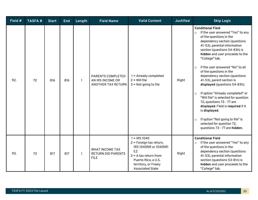| Field # | <b>TASFA#</b> | <b>Start</b> | <b>End</b> | Length | <b>Field Name</b>                                                  | <b>Valid Content</b>                                                                                                                                                                 | <b>Justified</b> | <b>Skip Logic</b>                                                                                                                                                                                                                                                                                                                                                                                                                                                                                                                                                                                                                                                                                                           |
|---------|---------------|--------------|------------|--------|--------------------------------------------------------------------|--------------------------------------------------------------------------------------------------------------------------------------------------------------------------------------|------------------|-----------------------------------------------------------------------------------------------------------------------------------------------------------------------------------------------------------------------------------------------------------------------------------------------------------------------------------------------------------------------------------------------------------------------------------------------------------------------------------------------------------------------------------------------------------------------------------------------------------------------------------------------------------------------------------------------------------------------------|
| 92.     | 72            | 816          | 816        | 1      | PARENTS COMPLETED<br>AN IRS INCOME OR<br><b>ANOTHER TAX RETURN</b> | $1 =$ Already completed<br>$2 =$ Will file<br>$3 = Not$ going to file                                                                                                                | Right            | <b>Conditional Field</b><br>If the user answered "Yes" to any<br>$\circ$<br>of the questions in the<br>dependency section (questions<br>41-53), parental information<br>section (questions 54-83h) is<br>hidden and user proceeds to the<br>"College" tab.<br>If the user answered "No" to all<br>$\circ$<br>of the questions in the<br>dependency section (questions<br>41-53), parent section is<br>displayed (questions 54-83h).<br>If option "Already completed" or<br>$\circ$<br>"Will file" is selected for question<br>72, questions 73 - 77 are<br>displayed. Field is required if it<br>is displayed.<br>If option "Not going to file" is<br>$\circ$<br>selected for question 72,<br>questions 73 - 77 are hidden. |
| 93.     | 73            | 817          | 817        | 1      | <b>WHAT INCOME TAX</b><br>RETURN DID PARENTS<br><b>FILE</b>        | $1 = IRS 1040$<br>2 = Foreign tax return,<br>IRS 1040NR or 1040NR-<br><b>EZ</b><br>$3 = A$ tax return from<br>Puerto Rico, a U.S.<br>territory, or Freely<br><b>Associated State</b> | Right            | <b>Conditional Field</b><br>If the user answered "Yes" to any<br>$\circ$<br>of the questions in the<br>dependency section (questions<br>41-53), parental information<br>section (questions 53-81n) is<br>hidden and user proceeds to the<br>"College" tab.                                                                                                                                                                                                                                                                                                                                                                                                                                                                  |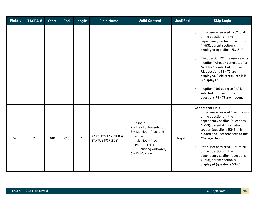| Field # | <b>TASFA#</b> | <b>Start</b> | <b>End</b> | Length       | <b>Field Name</b>                            | <b>Valid Content</b>                                                                                                                                                           | <b>Justified</b> | <b>Skip Logic</b>                                                                                                                                                                                                                                                                                                                                                                                                                                                                                    |
|---------|---------------|--------------|------------|--------------|----------------------------------------------|--------------------------------------------------------------------------------------------------------------------------------------------------------------------------------|------------------|------------------------------------------------------------------------------------------------------------------------------------------------------------------------------------------------------------------------------------------------------------------------------------------------------------------------------------------------------------------------------------------------------------------------------------------------------------------------------------------------------|
|         |               |              |            |              |                                              |                                                                                                                                                                                |                  | If the user answered "No" to all<br>$\circ$<br>of the questions in the<br>dependency section (questions<br>41-53), parent section is<br>displayed (questions 53-81n).<br>If in question 72, the user selects<br>$\circ$<br>If option "Already completed" or<br>"Will file" is selected for question<br>72, questions 73 - 77 are<br>displayed. Field is required if it<br>is displayed.<br>If option "Not going to file" is<br>$\circ$<br>selected for question 72,<br>questions 73 - 77 are hidden. |
| 94.     | 74            | 818          | 818        | $\mathbf{1}$ | <b>PARENTS TAX FILING</b><br>STATUS FOR 2021 | $1 =$ Single<br>$2 =$ Head of household<br>$3$ = Married - filed joint<br>return<br>$4$ = Married - filed<br>separate return<br>$5 =$ Qualifying widow(er)<br>$6 = Don't know$ | Right            | <b>Conditional Field</b><br>If the user answered "Yes" to any<br>$\circ$<br>of the questions in the<br>dependency section (questions<br>41-53), parental information<br>section (questions 53-81n) is<br>hidden and user proceeds to the<br>"College" tab.<br>If the user answered "No" to all<br>$\circ$<br>of the questions in the<br>dependency section (questions<br>41-53), parent section is<br>displayed (questions 53-81n).                                                                  |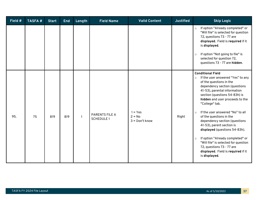| Field # | <b>TASFA#</b> | <b>Start</b> | <b>End</b> | Length       | <b>Field Name</b>                          | <b>Valid Content</b>                      | <b>Justified</b> | <b>Skip Logic</b>                                                                                                                                                                                                                                                                                                                                                                                                                                                                                                                                                                                              |
|---------|---------------|--------------|------------|--------------|--------------------------------------------|-------------------------------------------|------------------|----------------------------------------------------------------------------------------------------------------------------------------------------------------------------------------------------------------------------------------------------------------------------------------------------------------------------------------------------------------------------------------------------------------------------------------------------------------------------------------------------------------------------------------------------------------------------------------------------------------|
|         |               |              |            |              |                                            |                                           |                  | If option "Already completed" or<br>$\circ$<br>"Will file" is selected for question<br>72, questions 73 - 77 are<br>displayed. Field is required if it<br>is displayed.<br>If option "Not going to file" is<br>$\circ$<br>selected for question 72,<br>questions 73 - 77 are hidden.                                                                                                                                                                                                                                                                                                                           |
| 95.     | 75            | 819          | 819        | $\mathbf{1}$ | <b>PARENTS FILE A</b><br><b>SCHEDULE 1</b> | $1 = Yes$<br>$2 = No$<br>$3 = Don't know$ | Right            | <b>Conditional Field</b><br>If the user answered "Yes" to any<br>$\circ$<br>of the questions in the<br>dependency section (questions<br>41-53), parental information<br>section (questions 54-83h) is<br>hidden and user proceeds to the<br>"College" tab.<br>If the user answered "No" to all<br>$\circ$<br>of the questions in the<br>dependency section (questions<br>41-53), parent section is<br>displayed (questions 54-83h).<br>If option "Already completed" or<br>$\circ$<br>"Will file" is selected for question<br>72, questions 73 - 77 are<br>displayed. Field is required if it<br>is displayed. |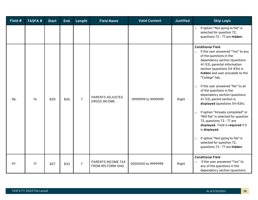| Field # | <b>TASFA#</b> | <b>Start</b> | <b>End</b> | Length         | <b>Field Name</b>                              | <b>Valid Content</b> | <b>Justified</b> | <b>Skip Logic</b>                                                                                                                                                                                                                                                                                                                                                                                                                                                                                                                                                                                                                                                                                                           |
|---------|---------------|--------------|------------|----------------|------------------------------------------------|----------------------|------------------|-----------------------------------------------------------------------------------------------------------------------------------------------------------------------------------------------------------------------------------------------------------------------------------------------------------------------------------------------------------------------------------------------------------------------------------------------------------------------------------------------------------------------------------------------------------------------------------------------------------------------------------------------------------------------------------------------------------------------------|
|         |               |              |            |                |                                                |                      |                  | If option "Not going to file" is<br>$\circ$<br>selected for question 72,<br>questions 73 - 77 are hidden.                                                                                                                                                                                                                                                                                                                                                                                                                                                                                                                                                                                                                   |
| 96.     | 76            | 820          | 826        | $\overline{7}$ | <b>PARENTS ADJUSTED</b><br><b>GROSS INCOME</b> | -9999999 to 9999999  | Right            | <b>Conditional Field</b><br>If the user answered "Yes" to any<br>$\circ$<br>of the questions in the<br>dependency section (questions<br>41-53), parental information<br>section (questions 54-83h) is<br>hidden and user proceeds to the<br>"College" tab.<br>If the user answered "No" to all<br>$\circ$<br>of the questions in the<br>dependency section (questions<br>41-53), parent section is<br>displayed (questions 54-83h).<br>If option "Already completed" or<br>$\circ$<br>"Will file" is selected for question<br>72, questions 73 - 77 are<br>displayed. Field is required if it<br>is displayed.<br>If option "Not going to file" is<br>$\circ$<br>selected for question 72,<br>questions 73 - 77 are hidden. |
| 97.     | 77            | 827          | 833        | $\overline{7}$ | PARENTS INCOME TAX<br>FROM IRS FORM 1040       | 0000000 to 9999999   | Right            | <b>Conditional Field</b><br>If the user answered "Yes" to<br>$\circ$<br>any of the questions in the<br>dependency section (questions                                                                                                                                                                                                                                                                                                                                                                                                                                                                                                                                                                                        |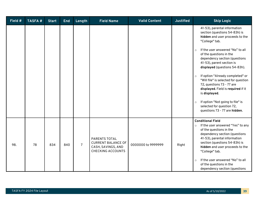| Field # | <b>TASFA#</b> | <b>Start</b> | <b>End</b> | Length         | <b>Field Name</b>                                                                                   | <b>Valid Content</b> | <b>Justified</b> | <b>Skip Logic</b>                                                                                                                                                                                                                                                                                                                                                                                                                                                                                                                                                                   |
|---------|---------------|--------------|------------|----------------|-----------------------------------------------------------------------------------------------------|----------------------|------------------|-------------------------------------------------------------------------------------------------------------------------------------------------------------------------------------------------------------------------------------------------------------------------------------------------------------------------------------------------------------------------------------------------------------------------------------------------------------------------------------------------------------------------------------------------------------------------------------|
|         |               |              |            |                |                                                                                                     |                      |                  | 41-53), parental information<br>section (questions 54-83h) is<br>hidden and user proceeds to the<br>"College" tab.<br>If the user answered "No" to all<br>$\circ$<br>of the questions in the<br>dependency section (questions<br>41-53), parent section is<br>displayed (questions 54-83h).<br>If option "Already completed" or<br>$\circ$<br>"Will file" is selected for question<br>72, questions 73 - 77 are<br>displayed. Field is required if it<br>is displayed.<br>If option "Not going to file" is<br>$\circ$<br>selected for question 72,<br>questions 73 - 77 are hidden. |
| 98.     | 78            | 834          | 840        | $\overline{7}$ | <b>PARENTS TOTAL</b><br><b>CURRENT BALANCE OF</b><br>CASH, SAVINGS, AND<br><b>CHECKING ACCOUNTS</b> | 0000000 to 9999999   | Right            | <b>Conditional Field</b><br>If the user answered "Yes" to any<br>$\circ$<br>of the questions in the<br>dependency section (questions<br>41-53), parental information<br>section (questions 54-83h) is<br>hidden and user proceeds to the<br>"College" tab.<br>If the user answered "No" to all<br>$\circ$<br>of the questions in the<br>dependency section (questions                                                                                                                                                                                                               |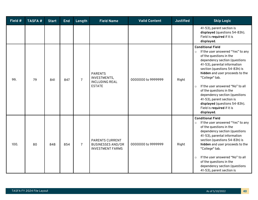| Field # | <b>TASFA#</b> | <b>Start</b> | <b>End</b> | Length         | <b>Field Name</b>                                                             | <b>Valid Content</b> | <b>Justified</b> | <b>Skip Logic</b>                                                                                                                                                                                                                                                                                                                                                                                                                                                               |
|---------|---------------|--------------|------------|----------------|-------------------------------------------------------------------------------|----------------------|------------------|---------------------------------------------------------------------------------------------------------------------------------------------------------------------------------------------------------------------------------------------------------------------------------------------------------------------------------------------------------------------------------------------------------------------------------------------------------------------------------|
|         |               |              |            |                |                                                                               |                      |                  | 41-53), parent section is<br>displayed (questions 54-83h).<br>Field is required if it is<br>displayed.                                                                                                                                                                                                                                                                                                                                                                          |
| 99.     | 79            | 841          | 847        | $\overline{7}$ | <b>PARENTS</b><br>INVESTMENTS,<br><b>INCLUDING REAL</b><br><b>ESTATE</b>      | 0000000 to 9999999   | Right            | <b>Conditional Field</b><br>If the user answered "Yes" to any<br>$\circ$<br>of the questions in the<br>dependency section (questions<br>41-53), parental information<br>section (questions 54-83h) is<br>hidden and user proceeds to the<br>"College" tab.<br>If the user answered "No" to all<br>$\circ$<br>of the questions in the<br>dependency section (questions<br>41-53), parent section is<br>displayed (questions 54-83h).<br>Field is required if it is<br>displayed. |
| 100.    | 80            | 848          | 854        | $\overline{7}$ | <b>PARENTS CURRENT</b><br><b>BUSINESSES AND/OR</b><br><b>INVESTMENT FARMS</b> | 0000000 to 9999999   | Right            | <b>Conditional Field</b><br>If the user answered "Yes" to any<br>$\circ$<br>of the questions in the<br>dependency section (questions<br>41-53), parental information<br>section (questions 54-83h) is<br>hidden and user proceeds to the<br>"College" tab.<br>If the user answered "No" to all<br>$\circ$<br>of the questions in the<br>dependency section (questions<br>41-53), parent section is                                                                              |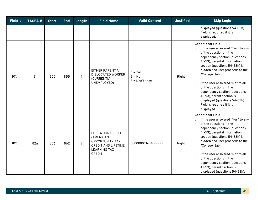| Field # | <b>TASFA#</b> | <b>Start</b> | <b>End</b> | Length         | <b>Field Name</b>                                                                                                               | <b>Valid Content</b>                      | <b>Justified</b> | <b>Skip Logic</b>                                                                                                                                                                                                                                                                                                                                                                                                                                                               |
|---------|---------------|--------------|------------|----------------|---------------------------------------------------------------------------------------------------------------------------------|-------------------------------------------|------------------|---------------------------------------------------------------------------------------------------------------------------------------------------------------------------------------------------------------------------------------------------------------------------------------------------------------------------------------------------------------------------------------------------------------------------------------------------------------------------------|
|         |               |              |            |                |                                                                                                                                 |                                           |                  | displayed (questions 54-83h).<br>Field is required if it is<br>displayed.                                                                                                                                                                                                                                                                                                                                                                                                       |
| 101.    | 81            | 855          | 855        | $\mathbf{1}$   | <b>EITHER PARENT A</b><br><b>DISLOCATED WORKER</b><br>(CURRENTLY<br>UNEMPLOYED)                                                 | $1 = Yes$<br>$2 = No$<br>$3 = Don't know$ | Right            | <b>Conditional Field</b><br>If the user answered "Yes" to any<br>$\circ$<br>of the questions in the<br>dependency section (questions<br>41-53), parental information<br>section (questions 54-83h) is<br>hidden and user proceeds to the<br>"College" tab.<br>If the user answered "No" to all<br>$\circ$<br>of the questions in the<br>dependency section (questions<br>41-53), parent section is<br>displayed (questions 54-83h).<br>Field is required if it is<br>displayed. |
| 102.    | 82a           | 856          | 862        | $\overline{7}$ | <b>EDUCATION CREDITS</b><br>(AMERICAN<br><b>OPPORTUNITY TAX</b><br><b>CREDIT AND LIFETIME</b><br><b>LEARNING TAX</b><br>CREDIT) | 0000000 to 9999999                        | Right            | <b>Conditional Field</b><br>If the user answered "Yes" to any<br>$\circ$<br>of the questions in the<br>dependency section (questions<br>41-53), parental information<br>section (questions 54-83h) is<br>hidden and user proceeds to the<br>"College" tab.<br>If the user answered "No" to all<br>$\circ$<br>of the questions in the<br>dependency section (questions<br>41-53), parent section is<br>displayed (questions 54-83h).                                             |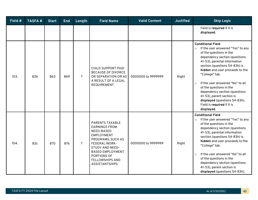| Field # | <b>TASFA#</b> | <b>Start</b> | <b>End</b> | Length         | <b>Field Name</b>                                                                                                                                                                                                                              | <b>Valid Content</b> | <b>Justified</b> | <b>Skip Logic</b>                                                                                                                                                                                                                                                                                                                                                                                                                                                               |
|---------|---------------|--------------|------------|----------------|------------------------------------------------------------------------------------------------------------------------------------------------------------------------------------------------------------------------------------------------|----------------------|------------------|---------------------------------------------------------------------------------------------------------------------------------------------------------------------------------------------------------------------------------------------------------------------------------------------------------------------------------------------------------------------------------------------------------------------------------------------------------------------------------|
|         |               |              |            |                |                                                                                                                                                                                                                                                |                      |                  | Field is required if it is<br>displayed.                                                                                                                                                                                                                                                                                                                                                                                                                                        |
| 103.    | 82b           | 863          | 869        | $\overline{7}$ | CHILD SUPPORT PAID<br><b>BECAUSE OF DIVORCE</b><br>OR SEPARATION OR AS<br>A RESULT OF A LEGAL<br><b>REQUIREMENT</b>                                                                                                                            | 0000000 to 9999999   | Right            | <b>Conditional Field</b><br>If the user answered "Yes" to any<br>$\circ$<br>of the questions in the<br>dependency section (questions<br>41-53), parental information<br>section (questions 54-83h) is<br>hidden and user proceeds to the<br>"College" tab.<br>If the user answered "No" to all<br>$\circ$<br>of the questions in the<br>dependency section (questions<br>41-53), parent section is<br>displayed (questions 54-83h).<br>Field is required if it is<br>displayed. |
| 104.    | 82c           | 870          | 876        | $\overline{7}$ | <b>PARENTS TAXABLE</b><br><b>EARNINGS FROM</b><br>NEED-BASED<br><b>EMPLOYMENT</b><br>PROGRAMS, SUCH AS<br>FEDERAL WORK-<br><b>STUDY AND NEED-</b><br><b>BASED EMPLOYMENT</b><br>PORTIONS OF<br><b>FELLOWSHIPS AND</b><br><b>ASSISTANTSHIPS</b> | 0000000 to 9999999   | Right            | <b>Conditional Field</b><br>If the user answered "Yes" to any<br>$\circ$<br>of the questions in the<br>dependency section (questions<br>41-53), parental information<br>section (questions 54-83h) is<br>hidden and user proceeds to the<br>"College" tab.<br>If the user answered "No" to all<br>$\circ$<br>of the questions in the<br>dependency section (questions<br>41-53), parent section is<br>displayed (questions 54-83h).                                             |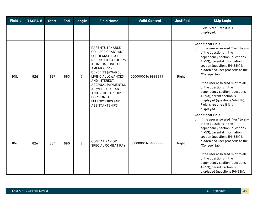| Field # | <b>TASFA#</b> | <b>Start</b> | <b>End</b> | Length         | <b>Field Name</b>                                                                                                                                                                                                                                                                                                                                             | <b>Valid Content</b> | <b>Justified</b> | <b>Skip Logic</b>                                                                                                                                                                                                                                                                                                                                                                                                                                                                |
|---------|---------------|--------------|------------|----------------|---------------------------------------------------------------------------------------------------------------------------------------------------------------------------------------------------------------------------------------------------------------------------------------------------------------------------------------------------------------|----------------------|------------------|----------------------------------------------------------------------------------------------------------------------------------------------------------------------------------------------------------------------------------------------------------------------------------------------------------------------------------------------------------------------------------------------------------------------------------------------------------------------------------|
|         |               |              |            |                |                                                                                                                                                                                                                                                                                                                                                               |                      |                  | Field is required if it is<br>displayed.                                                                                                                                                                                                                                                                                                                                                                                                                                         |
| 105.    | 82d           | 877          | 883        | $\overline{7}$ | <b>PARENTS TAXABLE</b><br><b>COLLEGE GRANT AND</b><br><b>SCHOLARSHIP AID</b><br>REPORTED TO THE IRS<br>AS INCOME. INCLUDES<br><b>AMERICORPS</b><br><b>BENEFITS (AWARDS,</b><br>LIVING ALLOWANCES<br><b>AND INTEREST</b><br>ACCRUAL PAYMENTS),<br>AS WELL AS GRANT<br><b>AND SCHOLARSHIP</b><br>PORTIONS OF<br><b>FELLOWSHIPS AND</b><br><b>ASSISTANTSHIPS</b> | 0000000 to 9999999   | Right            | <b>Conditional Field</b><br>If the user answered "Yes" to any<br>$\circ$<br>of the questions in the<br>dependency section (questions<br>41-53), parental information<br>section (questions 54-83h) is<br>hidden and user proceeds to the<br>"College" tab.<br>If the user answered "No" to all<br>$\Omega$<br>of the questions in the<br>dependency section (questions<br>41-53), parent section is<br>displayed (questions 54-83h).<br>Field is required if it is<br>displayed. |
| 106.    | 82e           | 884          | 890        | $\overline{7}$ | <b>COMBAT PAY OR</b><br>SPECIAL COMBAT PAY                                                                                                                                                                                                                                                                                                                    | 0000000 to 9999999   | Right            | <b>Conditional Field</b><br>If the user answered "Yes" to any<br>of the questions in the<br>dependency section (questions<br>41-53), parental information<br>section (questions 54-83h) is<br>hidden and user proceeds to the<br>"College" tab.<br>If the user answered "No" to all<br>$\circ$<br>of the questions in the<br>dependency section (questions<br>41-53), parent section is<br>displayed (questions 54-83h).                                                         |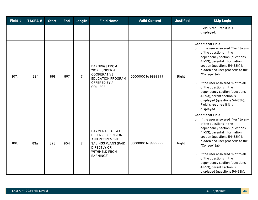| Field # | <b>TASFA#</b> | <b>Start</b> | <b>End</b> | Length         | <b>Field Name</b>                                                                                                                                             | <b>Valid Content</b> | <b>Justified</b> | <b>Skip Logic</b>                                                                                                                                                                                                                                                                                                                                                                                                                                                               |
|---------|---------------|--------------|------------|----------------|---------------------------------------------------------------------------------------------------------------------------------------------------------------|----------------------|------------------|---------------------------------------------------------------------------------------------------------------------------------------------------------------------------------------------------------------------------------------------------------------------------------------------------------------------------------------------------------------------------------------------------------------------------------------------------------------------------------|
|         |               |              |            |                |                                                                                                                                                               |                      |                  | Field is required if it is<br>displayed.                                                                                                                                                                                                                                                                                                                                                                                                                                        |
| 107.    | 82f           | 891          | 897        | $\overline{7}$ | <b>EARNINGS FROM</b><br><b>WORK UNDER A</b><br>COOPERATIVE<br><b>EDUCATION PROGRAM</b><br>OFFERED BY A<br>COLLEGE                                             | 0000000 to 9999999   | Right            | <b>Conditional Field</b><br>If the user answered "Yes" to any<br>$\circ$<br>of the questions in the<br>dependency section (questions<br>41-53), parental information<br>section (questions 54-83h) is<br>hidden and user proceeds to the<br>"College" tab.<br>If the user answered "No" to all<br>$\circ$<br>of the questions in the<br>dependency section (questions<br>41-53), parent section is<br>displayed (questions 54-83h).<br>Field is required if it is<br>displayed. |
| 108.    | 83a           | 898          | 904        | $\overline{7}$ | <b>PAYMENTS TO TAX-</b><br><b>DEFERRED PENSION</b><br>AND RETIREMENT<br><b>SAVINGS PLANS (PAID</b><br><b>DIRECTLY OR</b><br><b>WITHHELD FROM</b><br>EARNINGS) | 0000000 to 9999999   | Right            | <b>Conditional Field</b><br>If the user answered "Yes" to any<br>$\circ$<br>of the questions in the<br>dependency section (questions<br>41-53), parental information<br>section (questions 54-83h) is<br>hidden and user proceeds to the<br>"College" tab.<br>If the user answered "No" to all<br>$\circ$<br>of the questions in the<br>dependency section (questions<br>41-53), parent section is<br>displayed (questions 54-83h).                                             |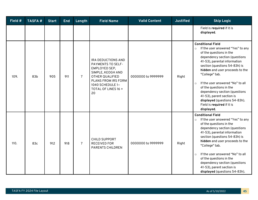| Field # | <b>TASFA#</b> | <b>Start</b> | <b>End</b> | Length         | <b>Field Name</b>                                                                                                                                                                             | <b>Valid Content</b> | <b>Justified</b> | <b>Skip Logic</b>                                                                                                                                                                                                                                                                                                                                                                                                                                                               |
|---------|---------------|--------------|------------|----------------|-----------------------------------------------------------------------------------------------------------------------------------------------------------------------------------------------|----------------------|------------------|---------------------------------------------------------------------------------------------------------------------------------------------------------------------------------------------------------------------------------------------------------------------------------------------------------------------------------------------------------------------------------------------------------------------------------------------------------------------------------|
|         |               |              |            |                |                                                                                                                                                                                               |                      |                  | Field is required if it is<br>displayed.                                                                                                                                                                                                                                                                                                                                                                                                                                        |
| 109.    | 83b           | 905          | 911        | $\overline{7}$ | <b>IRA DEDUCTIONS AND</b><br><b>PAYMENTS TO SELF-</b><br>EMPLOYED SEP,<br>SIMPLE, KEOGH AND<br><b>OTHER QUALIFIED</b><br>PLANS FROM IRS FORM<br>1040 SCHEDULE 1-<br>TOTAL OF LINES 16 +<br>20 | 0000000 to 9999999   | Right            | <b>Conditional Field</b><br>If the user answered "Yes" to any<br>$\circ$<br>of the questions in the<br>dependency section (questions<br>41-53), parental information<br>section (questions 54-83h) is<br>hidden and user proceeds to the<br>"College" tab.<br>If the user answered "No" to all<br>$\circ$<br>of the questions in the<br>dependency section (questions<br>41-53), parent section is<br>displayed (questions 54-83h).<br>Field is required if it is<br>displayed. |
| 110.    | 83c           | 912          | 918        | $\overline{7}$ | <b>CHILD SUPPORT</b><br><b>RECEIVED FOR</b><br><b>PARENTS CHILDREN</b>                                                                                                                        | 0000000 to 9999999   | Right            | <b>Conditional Field</b><br>If the user answered "Yes" to any<br>of the questions in the<br>dependency section (questions<br>41-53), parental information<br>section (questions 54-83h) is<br>hidden and user proceeds to the<br>"College" tab.<br>If the user answered "No" to all<br>$\circ$<br>of the questions in the<br>dependency section (questions<br>41-53), parent section is<br>displayed (questions 54-83h).                                                        |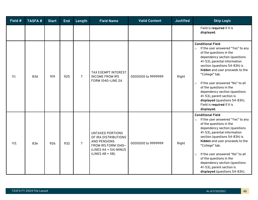| Field # | <b>TASFA#</b> | <b>Start</b> | <b>End</b> | Length         | <b>Field Name</b>                                                                                                                           | <b>Valid Content</b> | <b>Justified</b> | <b>Skip Logic</b>                                                                                                                                                                                                                                                                                                                                                                                                                                                               |
|---------|---------------|--------------|------------|----------------|---------------------------------------------------------------------------------------------------------------------------------------------|----------------------|------------------|---------------------------------------------------------------------------------------------------------------------------------------------------------------------------------------------------------------------------------------------------------------------------------------------------------------------------------------------------------------------------------------------------------------------------------------------------------------------------------|
|         |               |              |            |                |                                                                                                                                             |                      |                  | Field is required if it is<br>displayed.                                                                                                                                                                                                                                                                                                                                                                                                                                        |
| 111.    | 83d           | 919          | 925        | $\overline{7}$ | TAX EXEMPT INTEREST<br><b>INCOME FROM IRS</b><br>FORM 1040-LINE 2A                                                                          | 0000000 to 9999999   | Right            | <b>Conditional Field</b><br>If the user answered "Yes" to any<br>$\circ$<br>of the questions in the<br>dependency section (questions<br>41-53), parental information<br>section (questions 54-83h) is<br>hidden and user proceeds to the<br>"College" tab.<br>If the user answered "No" to all<br>$\circ$<br>of the questions in the<br>dependency section (questions<br>41-53), parent section is<br>displayed (questions 54-83h).<br>Field is required if it is<br>displayed. |
| 112.    | 83e           | 926          | 932        | $\overline{7}$ | <b>UNTAXED PORTIONS</b><br>OF IRA DISTRIBUTIONS<br><b>AND PENSIONS</b><br>FROM IRS FORM 1040-<br>(LINES 4A + 5A) MINUS<br>$(LINES AB + 5B)$ | 0000000 to 9999999   | Right            | <b>Conditional Field</b><br>If the user answered "Yes" to any<br>$\circ$<br>of the questions in the<br>dependency section (questions<br>41-53), parental information<br>section (questions 54-83h) is<br>hidden and user proceeds to the<br>"College" tab.<br>If the user answered "No" to all<br>$\circ$<br>of the questions in the<br>dependency section (questions<br>41-53), parent section is<br>displayed (questions 54-83h).                                             |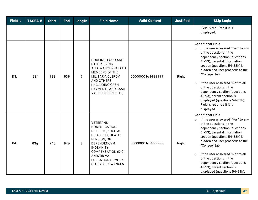| Field # | <b>TASFA#</b> | <b>Start</b> | <b>End</b> | Length         | <b>Field Name</b>                                                                                                                                                                                                                        | <b>Valid Content</b> | <b>Justified</b> | <b>Skip Logic</b>                                                                                                                                                                                                                                                                                                                                                                                                                                                               |
|---------|---------------|--------------|------------|----------------|------------------------------------------------------------------------------------------------------------------------------------------------------------------------------------------------------------------------------------------|----------------------|------------------|---------------------------------------------------------------------------------------------------------------------------------------------------------------------------------------------------------------------------------------------------------------------------------------------------------------------------------------------------------------------------------------------------------------------------------------------------------------------------------|
|         |               |              |            |                |                                                                                                                                                                                                                                          |                      |                  | Field is required if it is<br>displayed.                                                                                                                                                                                                                                                                                                                                                                                                                                        |
| 113.    | 83f           | 933          | 939        | $\overline{7}$ | HOUSING, FOOD AND<br><b>OTHER LIVING</b><br><b>ALLOWANCES PAID TO</b><br><b>MEMBERS OF THE</b><br>MILITARY, CLERGY<br><b>AND OTHERS</b><br>(INCLUDING CASH<br>PAYMENTS AND CASH<br><b>VALUE OF BENEFITS)</b>                             | 0000000 to 9999999   | Right            | <b>Conditional Field</b><br>If the user answered "Yes" to any<br>$\circ$<br>of the questions in the<br>dependency section (questions<br>41-53), parental information<br>section (questions 54-83h) is<br>hidden and user proceeds to the<br>"College" tab.<br>If the user answered "No" to all<br>$\circ$<br>of the questions in the<br>dependency section (questions<br>41-53), parent section is<br>displayed (questions 54-83h).<br>Field is required if it is<br>displayed. |
| 114.    | 83q           | 940          | 946        | $\overline{7}$ | <b>VETERANS</b><br>NONEDUCATION<br>BENEFITS, SUCH AS<br>DISABILITY, DEATH<br>PENSION, OR<br><b>DEPENDENCY &amp;</b><br><b>INDEMNITY</b><br><b>COMPENSATION (DIC)</b><br>AND/OR VA<br><b>EDUCATIONAL WORK-</b><br><b>STUDY ALLOWANCES</b> | 0000000 to 9999999   | Right            | <b>Conditional Field</b><br>If the user answered "Yes" to any<br>$\circ$<br>of the questions in the<br>dependency section (questions<br>41-53), parental information<br>section (questions 54-83h) is<br>hidden and user proceeds to the<br>"College" tab.<br>If the user answered "No" to all<br>$\circ$<br>of the questions in the<br>dependency section (questions<br>41-53), parent section is<br>displayed (questions 54-83h).                                             |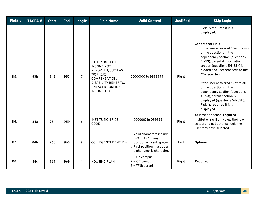| Field # | <b>TASFA#</b> | <b>Start</b> | <b>End</b> | Length         | <b>Field Name</b>                                                                                                                                                    | <b>Valid Content</b>                                                                                                                   | <b>Justified</b> | <b>Skip Logic</b>                                                                                                                                                                                                                                                                                                                                                                                                                                                               |
|---------|---------------|--------------|------------|----------------|----------------------------------------------------------------------------------------------------------------------------------------------------------------------|----------------------------------------------------------------------------------------------------------------------------------------|------------------|---------------------------------------------------------------------------------------------------------------------------------------------------------------------------------------------------------------------------------------------------------------------------------------------------------------------------------------------------------------------------------------------------------------------------------------------------------------------------------|
|         |               |              |            |                |                                                                                                                                                                      |                                                                                                                                        |                  | Field is required if it is<br>displayed.                                                                                                                                                                                                                                                                                                                                                                                                                                        |
| 115.    | 83h           | 947          | 953        | $\overline{7}$ | <b>OTHER UNTAXED</b><br><b>INCOME NOT</b><br>REPORTED, SUCH AS<br>WORKERS'<br>COMPENSATION,<br><b>DISABILITY BENEFITS,</b><br><b>UNTAXED FOREIGN</b><br>INCOME, ETC. | 0000000 to 9999999                                                                                                                     | Right            | <b>Conditional Field</b><br>If the user answered "Yes" to any<br>$\circ$<br>of the questions in the<br>dependency section (questions<br>41-53), parental information<br>section (questions 54-83h) is<br>hidden and user proceeds to the<br>"College" tab.<br>If the user answered "No" to all<br>$\circ$<br>of the questions in the<br>dependency section (questions<br>41-53), parent section is<br>displayed (questions 54-83h).<br>Field is required if it is<br>displayed. |
| 116.    | 84a           | 954          | 959        | 6              | <b>INSTITUTION FICE</b><br>CODE                                                                                                                                      | $\circ$ 000000 to 099999                                                                                                               | Right            | At least one school required.<br>Institutions will only view their own<br>school and not other schools the<br>user may have selected.                                                                                                                                                                                                                                                                                                                                           |
| 117.    | 84b           | 960          | 968        | 9              | <b>COLLEGE STUDENT ID #</b>                                                                                                                                          | o Valid characters include<br>0-9 or A-Z in any<br>position or blank spaces.<br>o First position must be an<br>alphanumeric character. | Left             | Optional                                                                                                                                                                                                                                                                                                                                                                                                                                                                        |
| 118.    | 84c           | 969          | 969        | $\mathbf{1}$   | <b>HOUSING PLAN</b>                                                                                                                                                  | $1 =$ On campus<br>$2 =$ Off campus<br>$3 = With parent$                                                                               | Right            | Required                                                                                                                                                                                                                                                                                                                                                                                                                                                                        |